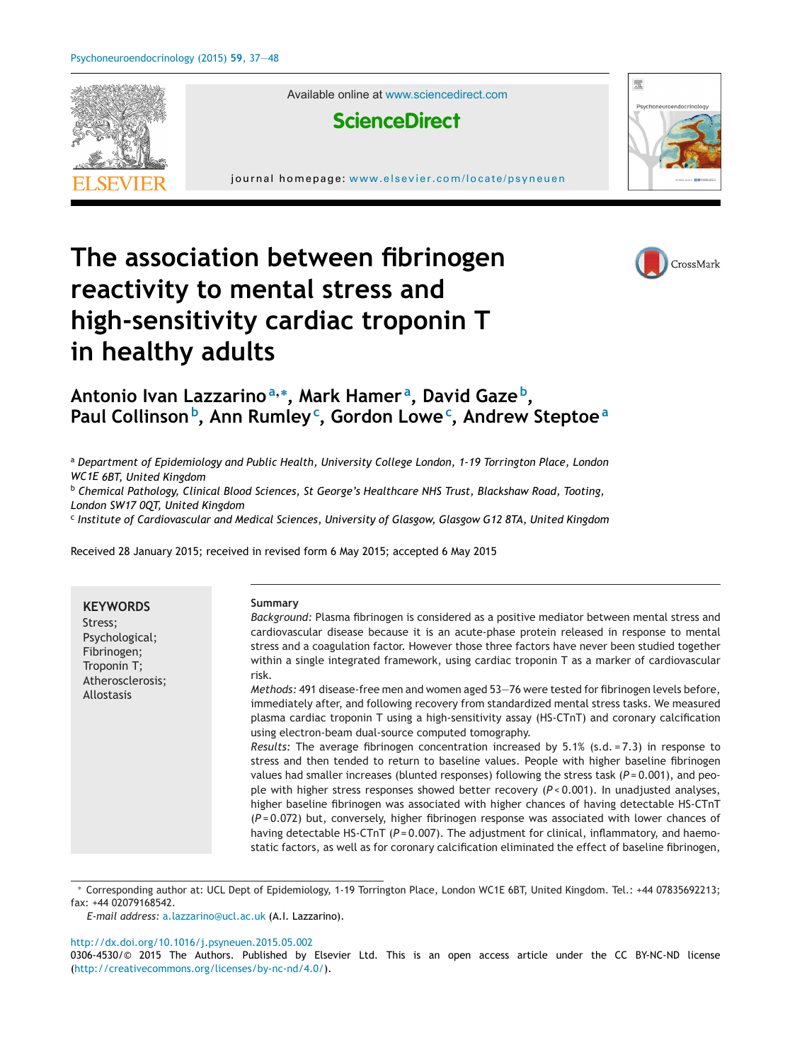

Available online at [www.sciencedirect.com](http://www.sciencedirect.com/science/journal/03064530)



journal homepage: <www.elsevier.com/locate/psyneuen>



# **The association between fibrinogen reactivity to mental stress and high-sensitivity cardiac troponin T in healthy adults**



## **Antonio Ivan Lazzarino<sup>a</sup>,<sup>∗</sup> , Mark Hamer <sup>a</sup> , David Gaze b, Paul Collinson<sup>b</sup> , Ann Rumley<sup>c</sup> , Gordon Lowe<sup>c</sup> , Andrew Steptoe<sup>a</sup>**

<sup>a</sup> *Department of Epidemiology and Public Health, University College London, 1-19 Torrington Place, London WC1E 6BT, United Kingdom*

<sup>b</sup> *Chemical Pathology, Clinical Blood Sciences, St George's Healthcare NHS Trust, Blackshaw Road, Tooting, London SW17 0QT, United Kingdom*

<sup>c</sup> *Institute of Cardiovascular and Medical Sciences, University of Glasgow, Glasgow G12 8TA, United Kingdom*

Received 28 January 2015; received in revised form 6 May 2015; accepted 6 May 2015

**KEYWORDS** Stress; Psychological; Fibrinogen; Troponin T; Atherosclerosis; Allostasis **Summary** *Background:* Plasma fibrinogen is considered as a positive mediator between mental stress and cardiovascular disease because it is an acute-phase protein released in response to mental stress and a coagulation factor. However those three factors have never been studied together within a single integrated framework, using cardiac troponin T as a marker of cardiovascular risk. *Methods:* 491 disease-free men and women aged 53—76 were tested for fibrinogen levels before, immediately after, and following recovery from standardized mental stress tasks. We measured plasma cardiac troponin T using a high-sensitivity assay (HS-CTnT) and coronary calcification using electron-beam dual-source computed tomography. *Results:* The average fibrinogen concentration increased by 5.1% (s.d. = 7.3) in response to stress and then tended to return to baseline values. People with higher baseline fibrinogen values had smaller increases (blunted responses) following the stress task (*P* = 0.001), and people with higher stress responses showed better recovery (*P* < 0.001). In unadjusted analyses, higher baseline fibrinogen was associated with higher chances of having detectable HS-CTnT (*P* = 0.072) but, conversely, higher fibrinogen response was associated with lower chances of having detectable HS-CTnT  $(P = 0.007)$ . The adjustment for clinical, inflammatory, and haemostatic factors, as well as for coronary calcification eliminated the effect of baseline fibrinogen,

∗ Corresponding author at: UCL Dept of Epidemiology, 1-19 Torrington Place, London WC1E 6BT, United Kingdom. Tel.: +44 07835692213; fax: +44 02079168542.

*E-mail address:* [a.lazzarino@ucl.ac.uk](mailto:a.lazzarino@ucl.ac.uk) (A.I. Lazzarino).

[http://dx.doi.org/10.1016/j.psyneuen.2015.05.002](dx.doi.org/10.1016/j.psyneuen.2015.05.002)

0306-4530/© 2015 The Authors. Published by Elsevier Ltd. This is an open access article under the CC BY-NC-ND license [\(http://creativecommons.org/licenses/by-nc-nd/4.0/\)](http://creativecommons.org/licenses/by-nc-nd/4.0/).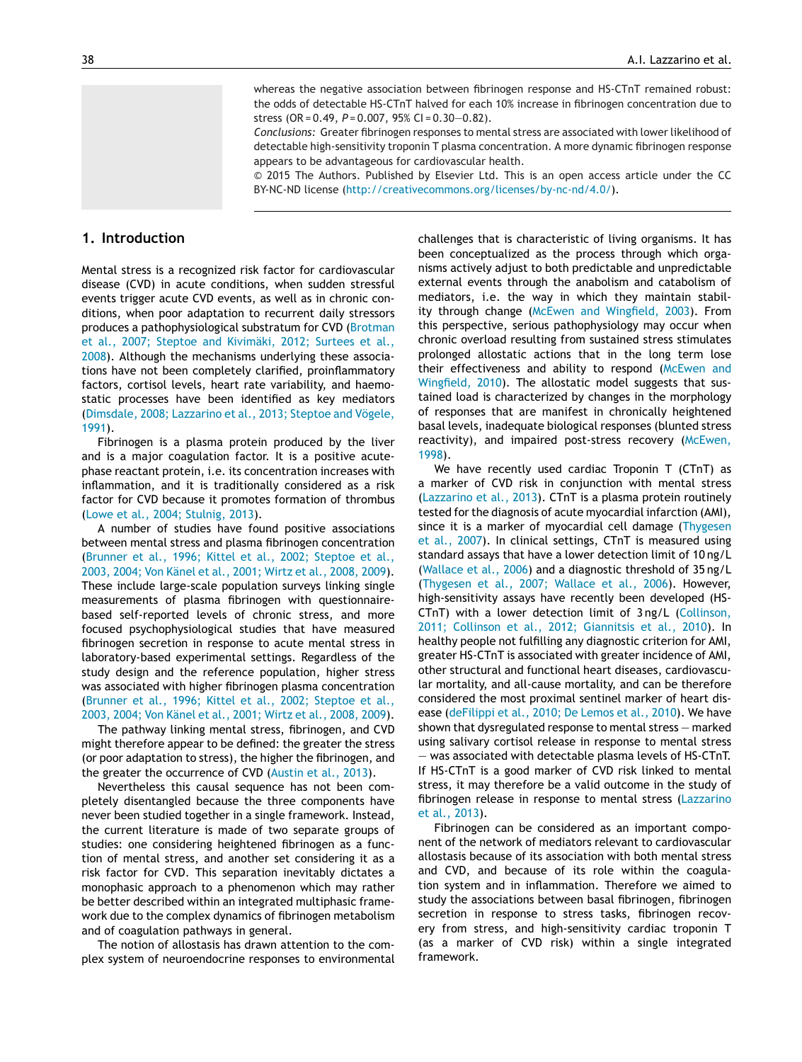whereas the negative association between fibrinogen response and HS-CTnT remained robust: the odds of detectable HS-CTnT halved for each 10% increase in fibrinogen concentration due to stress (OR = 0.49, *P* = 0.007, 95% CI = 0.30—0.82).

*Conclusions:* Greater fibrinogen responses to mental stress are associated with lower likelihood of detectable high-sensitivity troponin T plasma concentration. A more dynamic fibrinogen response appears to be advantageous for cardiovascular health.

© 2015 The Authors. Published by Elsevier Ltd. This is an open access article under the CC BY-NC-ND license (<http://creativecommons.org/licenses/by-nc-nd/4.0/>).

#### **1. Introduction**

Mental stress is a recognized risk factor for cardiovascular disease (CVD) in acute conditions, when sudden stressful events trigger acute CVD events, as well as in chronic conditions, when poor adaptation to recurrent daily stressors produces a pathophysiological substratum for CVD [\(Brotman](#page-10-0) et [al.,](#page-10-0) [2007;](#page-10-0) [Steptoe](#page-10-0) [and](#page-10-0) [Kivimäki,](#page-10-0) [2012;](#page-10-0) [Surtees](#page-10-0) et [al.,](#page-10-0) [2008\).](#page-10-0) Although the mechanisms underlying these associations have not been completely clarified, proinflammatory factors, cortisol levels, heart rate variability, and haemostatic processes have been identified as key mediators [\(Dimsdale,](#page-10-0) [2008;](#page-10-0) [Lazzarino](#page-10-0) et [al.,](#page-10-0) [2013;](#page-10-0) [Steptoe](#page-10-0) [and](#page-10-0) [Vögele,](#page-10-0) [1991\).](#page-10-0)

Fibrinogen is a plasma protein produced by the liver and is a major coagulation factor. It is a positive acutephase reactant protein, i.e. its concentration increases with inflammation, and it is traditionally considered as a risk factor for CVD because it promotes formation of thrombus [\(Lowe](#page-11-0) et [al.,](#page-11-0) [2004;](#page-11-0) [Stulnig,](#page-11-0) [2013\).](#page-11-0)

A number of studies have found positive associations between mental stress and plasma fibrinogen concentration [\(Brunner](#page-10-0) et [al.,](#page-10-0) [1996;](#page-10-0) [Kittel](#page-10-0) et [al.,](#page-10-0) [2002;](#page-10-0) [Steptoe](#page-10-0) et [al.,](#page-10-0) [2003,](#page-10-0) [2004;](#page-10-0) [Von](#page-10-0) [Känel](#page-10-0) et [al.,](#page-10-0) [2001;](#page-10-0) [Wirtz](#page-10-0) et [al.,](#page-10-0) [2008,](#page-10-0) [2009\).](#page-10-0) These include large-scale population surveys linking single measurements of plasma fibrinogen with questionnairebased self-reported levels of chronic stress, and more focused psychophysiological studies that have measured fibrinogen secretion in response to acute mental stress in laboratory-based experimental settings. Regardless of the study design and the reference population, higher stress was associated with higher fibrinogen plasma concentration [\(Brunner](#page-10-0) et [al.,](#page-10-0) [1996;](#page-10-0) [Kittel](#page-10-0) et [al.,](#page-10-0) [2002;](#page-10-0) [Steptoe](#page-10-0) et [al.,](#page-10-0) [2003,](#page-10-0) [2004;](#page-10-0) [Von](#page-10-0) [Känel](#page-10-0) et [al.,](#page-10-0) [2001;](#page-10-0) [Wirtz](#page-10-0) et [al.,](#page-10-0) [2008,](#page-10-0) [2009\).](#page-10-0)

The pathway linking mental stress, fibrinogen, and CVD might therefore appear to be defined: the greater the stress (or poor adaptation to stress), the higher the fibrinogen, and the greater the occurrence of CVD [\(Austin](#page-10-0) et [al.,](#page-10-0) [2013\).](#page-10-0)

Nevertheless this causal sequence has not been completely disentangled because the three components have never been studied together in a single framework. Instead, the current literature is made of two separate groups of studies: one considering heightened fibrinogen as a function of mental stress, and another set considering it as a risk factor for CVD. This separation inevitably dictates a monophasic approach to a phenomenon which may rather be better described within an integrated multiphasic framework due to the complex dynamics of fibrinogen metabolism and of coagulation pathways in general.

The notion of allostasis has drawn attention to the complex system of neuroendocrine responses to environmental challenges that is characteristic of living organisms. It has been conceptualized as the process through which organisms actively adjust to both predictable and unpredictable external events through the anabolism and catabolism of mediators, i.e. the way in which they maintain stability through change [\(McEwen](#page-11-0) [and](#page-11-0) [Wingfield,](#page-11-0) [2003\).](#page-11-0) From this perspective, serious pathophysiology may occur when chronic overload resulting from sustained stress stimulates prolonged allostatic actions that in the long term lose their effectiveness and ability to respond [\(McEwen](#page-11-0) [and](#page-11-0) [Wingfield,](#page-11-0) [2010\).](#page-11-0) The allostatic model suggests that sustained load is characterized by changes in the morphology of responses that are manifest in chronically heightened basal levels, inadequate biological responses (blunted stress reactivity), and impaired post-stress recovery ([McEwen,](#page-11-0) [1998\).](#page-11-0)

We have recently used cardiac Troponin T (CTnT) as a marker of CVD risk in conjunction with mental stress [\(Lazzarino](#page-11-0) et [al.,](#page-11-0) [2013\).](#page-11-0) CTnT is a plasma protein routinely tested for the diagnosis of acute myocardial infarction (AMI), since it is a marker of myocardial cell damage ([Thygesen](#page-11-0) et [al.,](#page-11-0) [2007\).](#page-11-0) In clinical settings, CTnT is measured using standard assays that have a lower detection limit of 10 ng/L [\(Wallace](#page-11-0) et [al.,](#page-11-0) [2006\)](#page-11-0) and a diagnostic threshold of 35 ng/L [\(Thygesen](#page-11-0) et [al.,](#page-11-0) [2007;](#page-11-0) [Wallace](#page-11-0) et [al.,](#page-11-0) [2006\).](#page-11-0) However, high-sensitivity assays have recently been developed (HS-CTnT) with a lower detection limit of 3 ng/L [\(Collinson,](#page-10-0) [2011;](#page-10-0) [Collinson](#page-10-0) et [al.,](#page-10-0) [2012;](#page-10-0) [Giannitsis](#page-10-0) et [al.,](#page-10-0) [2010\).](#page-10-0) In healthy people not fulfilling any diagnostic criterion for AMI, greater HS-CTnT is associated with greater incidence of AMI, other structural and functional heart diseases, cardiovascular mortality, and all-cause mortality, and can be therefore considered the most proximal sentinel marker of heart disease ([deFilippi](#page-10-0) et [al.,](#page-10-0) [2010;](#page-10-0) [De](#page-10-0) [Lemos](#page-10-0) et [al.,](#page-10-0) [2010\).](#page-10-0) We have shown that dysregulated response to mental stress — marked using salivary cortisol release in response to mental stress — was associated with detectable plasma levels of HS-CTnT. If HS-CTnT is a good marker of CVD risk linked to mental stress, it may therefore be a valid outcome in the study of fibrinogen release in response to mental stress ([Lazzarino](#page-11-0) et [al.,](#page-11-0) [2013\).](#page-11-0)

Fibrinogen can be considered as an important component of the network of mediators relevant to cardiovascular allostasis because of its association with both mental stress and CVD, and because of its role within the coagulation system and in inflammation. Therefore we aimed to study the associations between basal fibrinogen, fibrinogen secretion in response to stress tasks, fibrinogen recovery from stress, and high-sensitivity cardiac troponin T (as a marker of CVD risk) within a single integrated framework.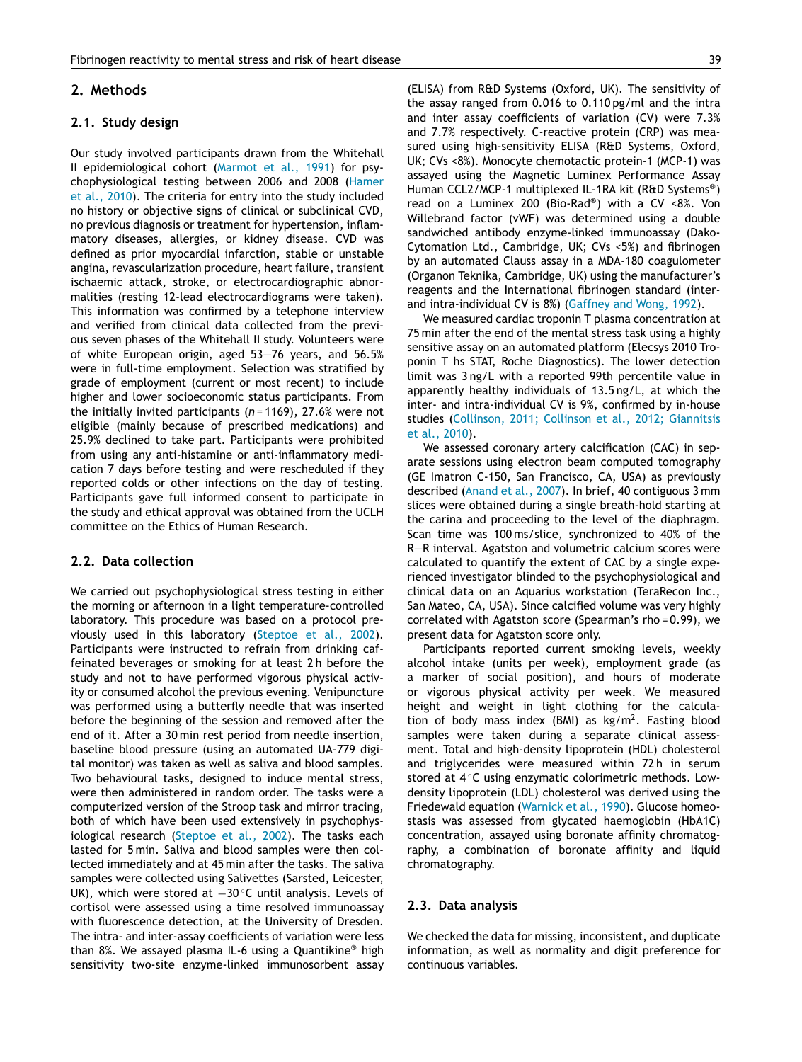#### <span id="page-2-0"></span>**2. Methods**

#### **2.1. Study design**

Our study involved participants drawn from the Whitehall II epidemiological cohort ([Marmot](#page-11-0) et [al.,](#page-11-0) [1991\)](#page-11-0) for psychophysiological testing between 2006 and 2008 [\(Hamer](#page-10-0) et [al.,](#page-10-0) [2010\).](#page-10-0) The criteria for entry into the study included no history or objective signs of clinical or subclinical CVD, no previous diagnosis or treatment for hypertension, inflammatory diseases, allergies, or kidney disease. CVD was defined as prior myocardial infarction, stable or unstable angina, revascularization procedure, heart failure, transient ischaemic attack, stroke, or electrocardiographic abnormalities (resting 12-lead electrocardiograms were taken). This information was confirmed by a telephone interview and verified from clinical data collected from the previous seven phases of the Whitehall II study. Volunteers were of white European origin, aged 53—76 years, and 56.5% were in full-time employment. Selection was stratified by grade of employment (current or most recent) to include higher and lower socioeconomic status participants. From the initially invited participants (*n* = 1169), 27.6% were not eligible (mainly because of prescribed medications) and 25.9% declined to take part. Participants were prohibited from using any anti-histamine or anti-inflammatory medication 7 days before testing and were rescheduled if they reported colds or other infections on the day of testing. Participants gave full informed consent to participate in the study and ethical approval was obtained from the UCLH committee on the Ethics of Human Research.

#### **2.2. Data collection**

We carried out psychophysiological stress testing in either the morning or afternoon in a light temperature-controlled laboratory. This procedure was based on a protocol previously used in this laboratory ([Steptoe](#page-11-0) et [al.,](#page-11-0) [2002\).](#page-11-0) Participants were instructed to refrain from drinking caffeinated beverages or smoking for at least 2 h before the study and not to have performed vigorous physical activity or consumed alcohol the previous evening. Venipuncture was performed using a butterfly needle that was inserted before the beginning of the session and removed after the end of it. After a 30 min rest period from needle insertion, baseline blood pressure (using an automated UA-779 digital monitor) was taken as well as saliva and blood samples. Two behavioural tasks, designed to induce mental stress, were then administered in random order. The tasks were a computerized version of the Stroop task and mirror tracing, both of which have been used extensively in psychophysiological research ([Steptoe](#page-11-0) et [al.,](#page-11-0) [2002\).](#page-11-0) The tasks each lasted for 5 min. Saliva and blood samples were then collected immediately and at 45 min after the tasks. The saliva samples were collected using Salivettes (Sarsted, Leicester, UK), which were stored at -30 °C until analysis. Levels of cortisol were assessed using a time resolved immunoassay with fluorescence detection, at the University of Dresden. The intra- and inter-assay coefficients of variation were less than 8%. We assayed plasma IL-6 using a Quantikine® high sensitivity two-site enzyme-linked immunosorbent assay (ELISA) from R&D Systems (Oxford, UK). The sensitivity of the assay ranged from 0.016 to 0.110 pg/ml and the intra and inter assay coefficients of variation (CV) were 7.3% and 7.7% respectively. C-reactive protein (CRP) was measured using high-sensitivity ELISA (R&D Systems, Oxford, UK; CVs <8%). Monocyte chemotactic protein-1 (MCP-1) was assayed using the Magnetic Luminex Performance Assay Human CCL2/MCP-1 multiplexed IL-1RA kit (R&D Systems®) read on a Luminex 200 (Bio-Rad®) with a CV <8%. Von Willebrand factor (vWF) was determined using a double sandwiched antibody enzyme-linked immunoassay (Dako-Cytomation Ltd., Cambridge, UK; CVs <5%) and fibrinogen by an automated Clauss assay in a MDA-180 coagulometer (Organon Teknika, Cambridge, UK) using the manufacturer's reagents and the International fibrinogen standard (interand intra-individual CV is 8%) ([Gaffney](#page-10-0) [and](#page-10-0) [Wong,](#page-10-0) [1992\).](#page-10-0)

We measured cardiac troponin T plasma concentration at 75 min after the end of the mental stress task using a highly sensitive assay on an automated platform (Elecsys 2010 Troponin T hs STAT, Roche Diagnostics). The lower detection limit was 3 ng/L with a reported 99th percentile value in apparently healthy individuals of 13.5 ng/L, at which the inter- and intra-individual CV is 9%, confirmed by in-house studies ([Collinson,](#page-10-0) [2011;](#page-10-0) [Collinson](#page-10-0) et [al.,](#page-10-0) [2012;](#page-10-0) [Giannitsis](#page-10-0) et [al.,](#page-10-0) [2010\).](#page-10-0)

We assessed coronary artery calcification (CAC) in separate sessions using electron beam computed tomography (GE Imatron C-150, San Francisco, CA, USA) as previously described [\(Anand](#page-10-0) et [al.,](#page-10-0) [2007\).](#page-10-0) In brief, 40 contiguous 3 mm slices were obtained during a single breath-hold starting at the carina and proceeding to the level of the diaphragm. Scan time was 100 ms/slice, synchronized to 40% of the R—R interval. Agatston and volumetric calcium scores were calculated to quantify the extent of CAC by a single experienced investigator blinded to the psychophysiological and clinical data on an Aquarius workstation (TeraRecon Inc., San Mateo, CA, USA). Since calcified volume was very highly correlated with Agatston score (Spearman's rho = 0.99), we present data for Agatston score only.

Participants reported current smoking levels, weekly alcohol intake (units per week), employment grade (as a marker of social position), and hours of moderate or vigorous physical activity per week. We measured height and weight in light clothing for the calculation of body mass index (BMI) as  $kg/m<sup>2</sup>$ . Fasting blood samples were taken during a separate clinical assessment. Total and high-density lipoprotein (HDL) cholesterol and triglycerides were measured within 72 h in serum stored at 4 ℃ using enzymatic colorimetric methods. Lowdensity lipoprotein (LDL) cholesterol was derived using the Friedewald equation ([Warnick](#page-11-0) et [al.,](#page-11-0) [1990\).](#page-11-0) Glucose homeostasis was assessed from glycated haemoglobin (HbA1C) concentration, assayed using boronate affinity chromatography, a combination of boronate affinity and liquid chromatography.

#### **2.3. Data analysis**

We checked the data for missing, inconsistent, and duplicate information, as well as normality and digit preference for continuous variables.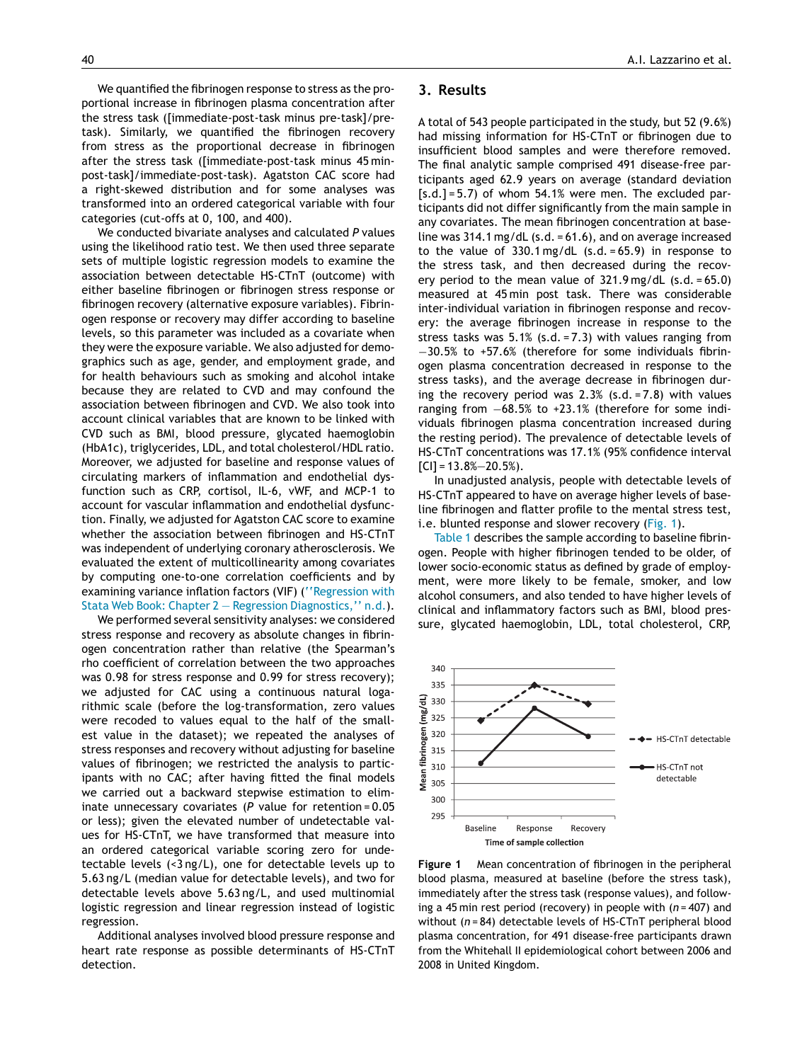We quantified the fibrinogen response to stress as the proportional increase in fibrinogen plasma concentration after the stress task ([immediate-post-task minus pre-task]/pretask). Similarly, we quantified the fibrinogen recovery from stress as the proportional decrease in fibrinogen after the stress task ([immediate-post-task minus 45 minpost-task]/immediate-post-task). Agatston CAC score had a right-skewed distribution and for some analyses was transformed into an ordered categorical variable with four categories (cut-offs at 0, 100, and 400).

We conducted bivariate analyses and calculated *P* values using the likelihood ratio test. We then used three separate sets of multiple logistic regression models to examine the association between detectable HS-CTnT (outcome) with either baseline fibrinogen or fibrinogen stress response or fibrinogen recovery (alternative exposure variables). Fibrinogen response or recovery may differ according to baseline levels, so this parameter was included as a covariate when they were the exposure variable. We also adjusted for demographics such as age, gender, and employment grade, and for health behaviours such as smoking and alcohol intake because they are related to CVD and may confound the association between fibrinogen and CVD. We also took into account clinical variables that are known to be linked with CVD such as BMI, blood pressure, glycated haemoglobin (HbA1c), triglycerides, LDL, and total cholesterol/HDL ratio. Moreover, we adjusted for baseline and response values of circulating markers of inflammation and endothelial dysfunction such as CRP, cortisol, IL-6, vWF, and MCP-1 to account for vascular inflammation and endothelial dysfunction. Finally, we adjusted for Agatston CAC score to examine whether the association between fibrinogen and HS-CTnT was independent of underlying coronary atherosclerosis. We evaluated the extent of multicollinearity among covariates by computing one-to-one correlation coefficients and by examining variance inflation factors (VIF) [\(''Regression](#page-11-0) [with](#page-11-0) [Stata](#page-11-0) [Web](#page-11-0) [Book:](#page-11-0) [Chapter](#page-11-0) [2](#page-11-0) [—](#page-11-0) [Regression](#page-11-0) [Diagnostics,''](#page-11-0) [n.d.\).](#page-11-0)

We performed several sensitivity analyses: we considered stress response and recovery as absolute changes in fibrinogen concentration rather than relative (the Spearman's rho coefficient of correlation between the two approaches was 0.98 for stress response and 0.99 for stress recovery); we adjusted for CAC using a continuous natural logarithmic scale (before the log-transformation, zero values were recoded to values equal to the half of the smallest value in the dataset); we repeated the analyses of stress responses and recovery without adjusting for baseline values of fibrinogen; we restricted the analysis to participants with no CAC; after having fitted the final models we carried out a backward stepwise estimation to eliminate unnecessary covariates (*P* value for retention = 0.05 or less); given the elevated number of undetectable values for HS-CTnT, we have transformed that measure into an ordered categorical variable scoring zero for undetectable levels (<3 ng/L), one for detectable levels up to 5.63 ng/L (median value for detectable levels), and two for detectable levels above 5.63 ng/L, and used multinomial logistic regression and linear regression instead of logistic regression.

Additional analyses involved blood pressure response and heart rate response as possible determinants of HS-CTnT detection.

#### 40 A.I. Lazzarino et al.

#### **3. Results**

A total of 543 people participated in the study, but 52 (9.6%) had missing information for HS-CTnT or fibrinogen due to insufficient blood samples and were therefore removed. The final analytic sample comprised 491 disease-free participants aged 62.9 years on average (standard deviation  $[s.d.] = 5.7$ ) of whom  $54.1%$  were men. The excluded participants did not differ significantly from the main sample in any covariates. The mean fibrinogen concentration at baseline was 314.1 mg/dL (s.d. = 61.6), and on average increased to the value of  $330.1 \text{ mg/dL}$  (s.d. = 65.9) in response to the stress task, and then decreased during the recovery period to the mean value of 321.9 mg/dL (s.d. = 65.0) measured at 45 min post task. There was considerable inter-individual variation in fibrinogen response and recovery: the average fibrinogen increase in response to the stress tasks was  $5.1\%$  (s.d. = 7.3) with values ranging from −30.5% to +57.6% (therefore for some individuals fibrinogen plasma concentration decreased in response to the stress tasks), and the average decrease in fibrinogen during the recovery period was 2.3% (s.d. = 7.8) with values ranging from  $-68.5%$  to +23.1% (therefore for some individuals fibrinogen plasma concentration increased during the resting period). The prevalence of detectable levels of HS-CTnT concentrations was 17.1% (95% confidence interval  $[C1] = 13.8\% - 20.5\%$ .

In unadjusted analysis, people with detectable levels of HS-CTnT appeared to have on average higher levels of baseline fibrinogen and flatter profile to the mental stress test, i.e. blunted response and slower recovery (Fig. 1).

[Table](#page-4-0) 1 describes the sample according to baseline fibrinogen. People with higher fibrinogen tended to be older, of lower socio-economic status as defined by grade of employment, were more likely to be female, smoker, and low alcohol consumers, and also tended to have higher levels of clinical and inflammatory factors such as BMI, blood pressure, glycated haemoglobin, LDL, total cholesterol, CRP,



**Figure 1** Mean concentration of fibrinogen in the peripheral blood plasma, measured at baseline (before the stress task), immediately after the stress task (response values), and following a 45 min rest period (recovery) in people with (*n* = 407) and without (*n* = 84) detectable levels of HS-CTnT peripheral blood plasma concentration, for 491 disease-free participants drawn from the Whitehall II epidemiological cohort between 2006 and 2008 in United Kingdom.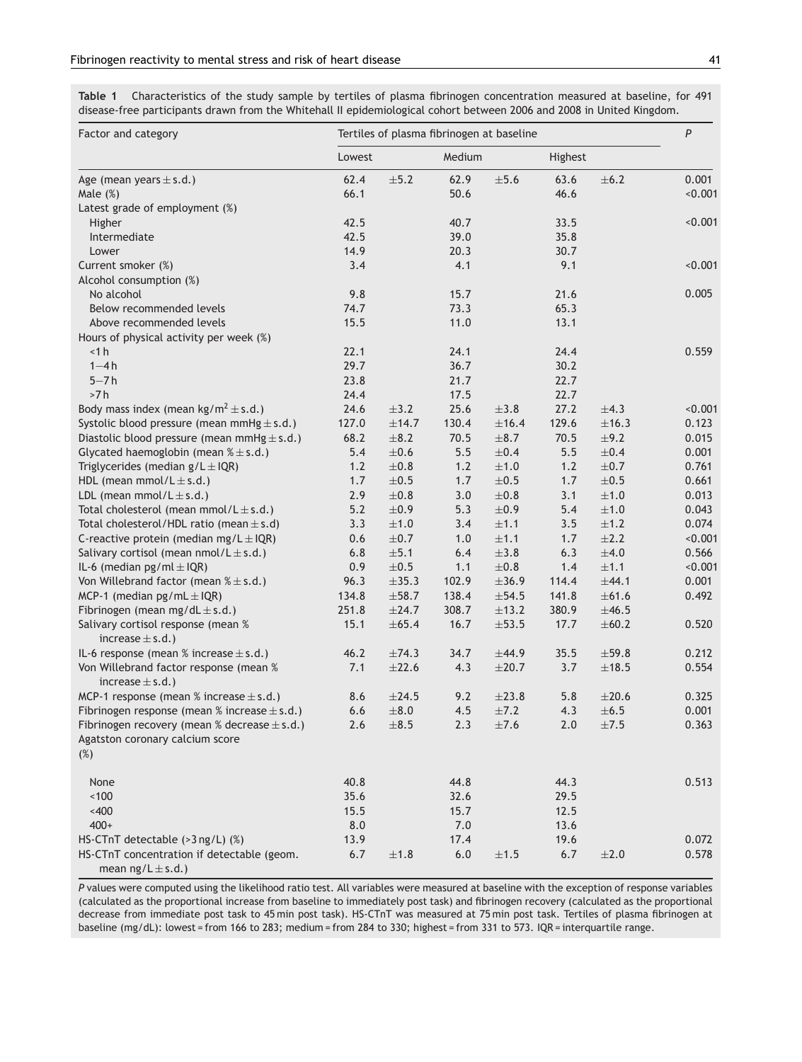<span id="page-4-0"></span>**Table 1** Characteristics of the study sample by tertiles of plasma fibrinogen concentration measured at baseline, for 491 disease-free participants drawn from the Whitehall II epidemiological cohort between 2006 and 2008 in United Kingdom.

| Factor and category                                                  |         |            |        | $\boldsymbol{P}$<br>Tertiles of plasma fibrinogen at baseline |         |            |         |
|----------------------------------------------------------------------|---------|------------|--------|---------------------------------------------------------------|---------|------------|---------|
|                                                                      | Lowest  |            | Medium |                                                               | Highest |            |         |
| Age (mean years $\pm$ s.d.)                                          | 62.4    | $\pm 5.2$  | 62.9   | $\pm 5.6$                                                     | 63.6    | $\pm 6.2$  | 0.001   |
| Male $(\%)$                                                          | 66.1    |            | 50.6   |                                                               | 46.6    |            | < 0.001 |
| Latest grade of employment (%)                                       |         |            |        |                                                               |         |            |         |
| Higher                                                               | 42.5    |            | 40.7   |                                                               | 33.5    |            | < 0.001 |
| Intermediate                                                         | 42.5    |            | 39.0   |                                                               | 35.8    |            |         |
| Lower                                                                | 14.9    |            | 20.3   |                                                               | 30.7    |            |         |
| Current smoker (%)                                                   | 3.4     |            | 4.1    |                                                               | 9.1     |            | < 0.001 |
| Alcohol consumption (%)                                              |         |            |        |                                                               |         |            |         |
| No alcohol                                                           | 9.8     |            | 15.7   |                                                               | 21.6    |            | 0.005   |
| Below recommended levels                                             | 74.7    |            | 73.3   |                                                               | 65.3    |            |         |
| Above recommended levels                                             | 15.5    |            | 11.0   |                                                               | 13.1    |            |         |
| Hours of physical activity per week (%)                              |         |            |        |                                                               |         |            |         |
| $<$ 1 $h$                                                            | 22.1    |            | 24.1   |                                                               | 24.4    |            | 0.559   |
| $1 - 4h$                                                             | 29.7    |            | 36.7   |                                                               | 30.2    |            |         |
| $5 - 7h$                                                             | 23.8    |            | 21.7   |                                                               | 22.7    |            |         |
| >7h                                                                  | 24.4    |            | 17.5   |                                                               | 22.7    |            |         |
| Body mass index (mean kg/m <sup>2</sup> $\pm$ s.d.)                  | 24.6    | $\pm$ 3.2  | 25.6   | $\pm 3.8$                                                     | 27.2    | $\pm 4.3$  | < 0.001 |
| Systolic blood pressure (mean mmHg $\pm$ s.d.)                       | 127.0   | $\pm$ 14.7 | 130.4  | ±16.4                                                         | 129.6   | ±16.3      | 0.123   |
| Diastolic blood pressure (mean mmHg $\pm$ s.d.)                      | 68.2    | $\pm$ 8.2  | 70.5   | $\pm 8.7$                                                     | 70.5    | $\pm$ 9.2  | 0.015   |
| Glycated haemoglobin (mean $% \pm s.d.$ )                            | 5.4     | $\pm 0.6$  | 5.5    | $\pm 0.4$                                                     | 5.5     | $\pm 0.4$  | 0.001   |
| Triglycerides (median $g/L \pm IQR$ )                                | 1.2     | $\pm 0.8$  | 1.2    | $\pm 1.0$                                                     | 1.2     | $\pm 0.7$  | 0.761   |
| HDL (mean mmol/ $L \pm s.d.$ )                                       | 1.7     | $\pm 0.5$  | 1.7    | $\pm 0.5$                                                     | 1.7     | $\pm 0.5$  | 0.661   |
| LDL (mean mmol/ $L \pm s.d.$ )                                       | 2.9     | $\pm 0.8$  | 3.0    | $\pm 0.8$                                                     | 3.1     | $\pm 1.0$  | 0.013   |
| Total cholesterol (mean mmol/ $L \pm s.d.$ )                         | 5.2     | $\pm 0.9$  | 5.3    | $\pm 0.9$                                                     | 5.4     | ±1.0       | 0.043   |
| Total cholesterol/HDL ratio (mean $\pm$ s.d)                         | 3.3     | $\pm 1.0$  | 3.4    | ±1.1                                                          | 3.5     | ±1.2       | 0.074   |
| C-reactive protein (median mg/L $\pm$ IQR)                           | 0.6     | $\pm 0.7$  | 1.0    | ±1.1                                                          | 1.7     | $\pm 2.2$  | < 0.001 |
| Salivary cortisol (mean $nmol/L \pm s.d.$ )                          | 6.8     | $\pm 5.1$  | 6.4    | $\pm 3.8$                                                     | 6.3     | $\pm 4.0$  | 0.566   |
| IL-6 (median $pg/ml \pm IQR$ )                                       | 0.9     | $\pm 0.5$  | 1.1    | $\pm 0.8$                                                     | 1.4     | ±1.1       | < 0.001 |
| Von Willebrand factor (mean $% \pm s.d.$ )                           | 96.3    | $\pm$ 35.3 | 102.9  | $\pm 36.9$                                                    | 114.4   | ±44.1      | 0.001   |
| MCP-1 (median $pg/mL \pm IQR$ )                                      | 134.8   | $\pm 58.7$ | 138.4  | $\pm 54.5$                                                    | 141.8   | $\pm 61.6$ | 0.492   |
| Fibrinogen (mean mg/dL $\pm$ s.d.)                                   | 251.8   | $\pm 24.7$ | 308.7  | $\pm$ 13.2                                                    | 380.9   | $\pm 46.5$ |         |
| Salivary cortisol response (mean %                                   | 15.1    | $\pm 65.4$ | 16.7   | $\pm 53.5$                                                    | 17.7    | $\pm 60.2$ | 0.520   |
| increase $\pm$ s.d.)                                                 |         |            |        |                                                               |         |            |         |
| IL-6 response (mean % increase $\pm$ s.d.)                           | 46.2    | $\pm 74.3$ | 34.7   | ±44.9                                                         | 35.5    | $\pm 59.8$ | 0.212   |
| Von Willebrand factor response (mean %                               | 7.1     | $\pm 22.6$ | 4.3    | $\pm 20.7$                                                    | 3.7     | ±18.5      | 0.554   |
| increase $\pm$ s.d.)                                                 |         |            |        |                                                               |         |            |         |
| MCP-1 response (mean % increase $\pm$ s.d.)                          | 8.6     | $\pm 24.5$ | 9.2    | $\pm 23.8$                                                    | 5.8     | $\pm 20.6$ | 0.325   |
| Fibrinogen response (mean % increase $\pm$ s.d.)                     | $6.6\,$ | $\pm 8.0$  | 4.5    | $\pm 7.2$                                                     | 4.3     | $\pm 6.5$  | 0.001   |
| Fibrinogen recovery (mean % decrease $\pm$ s.d.)                     | 2.6     | $\pm 8.5$  | 2.3    | ±7.6                                                          | 2.0     | $\pm 7.5$  | 0.363   |
| Agatston coronary calcium score<br>$(\%)$                            |         |            |        |                                                               |         |            |         |
| None                                                                 | 40.8    |            | 44.8   |                                                               | 44.3    |            | 0.513   |
| ~100                                                                 | 35.6    |            | 32.6   |                                                               | 29.5    |            |         |
| ~400                                                                 | 15.5    |            | 15.7   |                                                               | 12.5    |            |         |
| $400+$                                                               | 8.0     |            | 7.0    |                                                               | 13.6    |            |         |
| HS-CTnT detectable $($ >3 ng/L) $%$                                  | 13.9    |            | 17.4   |                                                               | 19.6    |            | 0.072   |
| HS-CTnT concentration if detectable (geom.<br>mean $ng/L \pm s.d.$ ) | 6.7     | ±1.8       | $6.0$  | $\pm 1.5$                                                     | 6.7     | $\pm 2.0$  | 0.578   |

*P* values were computed using the likelihood ratio test. All variables were measured at baseline with the exception of response variables (calculated as the proportional increase from baseline to immediately post task) and fibrinogen recovery (calculated as the proportional decrease from immediate post task to 45 min post task). HS-CTnT was measured at 75 min post task. Tertiles of plasma fibrinogen at baseline (mg/dL): lowest = from 166 to 283; medium = from 284 to 330; highest = from 331 to 573. IQR = interquartile range.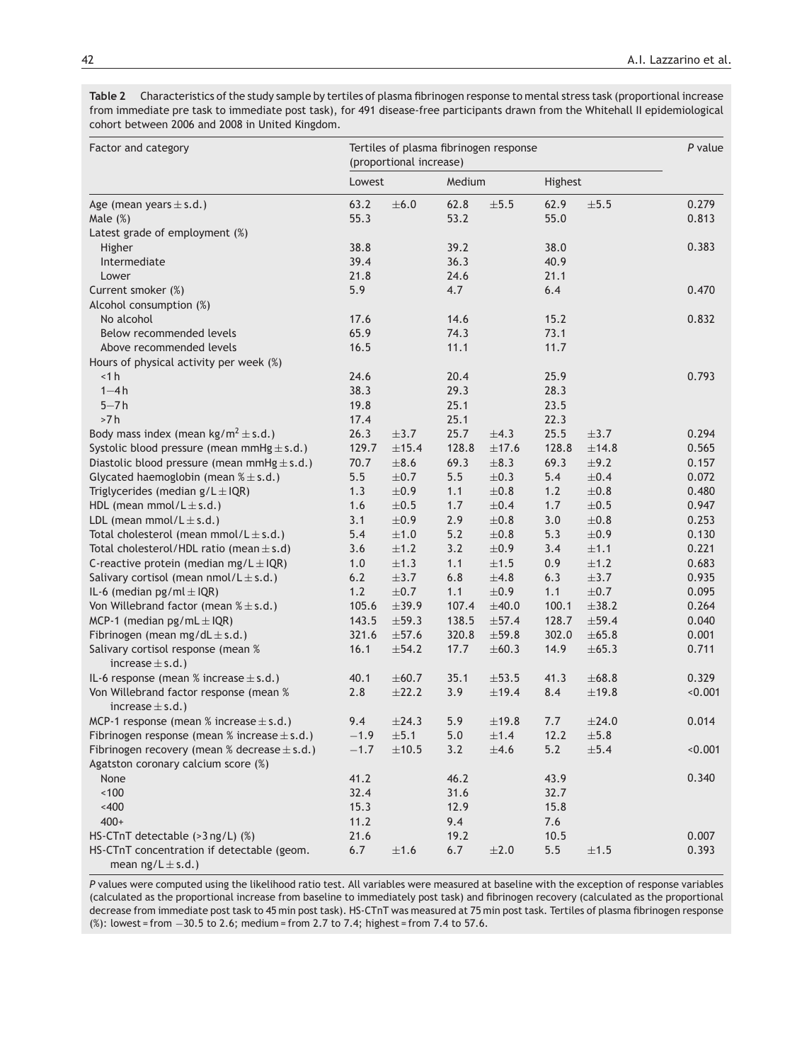<span id="page-5-0"></span>Table 2 Characteristics of the study sample by tertiles of plasma fibrinogen response to mental stress task (proportional increase from immediate pre task to immediate post task), for 491 disease-free participants drawn from the Whitehall II epidemiological cohort between 2006 and 2008 in United Kingdom.

| Factor and category                                                  |        | (proportional increase) |        | Tertiles of plasma fibrinogen response |         |            | $P$ value |
|----------------------------------------------------------------------|--------|-------------------------|--------|----------------------------------------|---------|------------|-----------|
|                                                                      | Lowest |                         | Medium |                                        | Highest |            |           |
| Age (mean years $\pm$ s.d.)                                          | 63.2   | $\pm 6.0$               | 62.8   | $\pm 5.5$                              | 62.9    | $\pm 5.5$  | 0.279     |
| Male $(\%)$                                                          | 55.3   |                         | 53.2   |                                        | 55.0    |            | 0.813     |
| Latest grade of employment (%)                                       |        |                         |        |                                        |         |            |           |
| Higher                                                               | 38.8   |                         | 39.2   |                                        | 38.0    |            | 0.383     |
| Intermediate                                                         | 39.4   |                         | 36.3   |                                        | 40.9    |            |           |
| Lower                                                                | 21.8   |                         | 24.6   |                                        | 21.1    |            |           |
| Current smoker (%)                                                   | 5.9    |                         | 4.7    |                                        | 6.4     |            | 0.470     |
| Alcohol consumption (%)                                              |        |                         |        |                                        |         |            |           |
| No alcohol                                                           | 17.6   |                         | 14.6   |                                        | 15.2    |            | 0.832     |
| Below recommended levels                                             | 65.9   |                         | 74.3   |                                        | 73.1    |            |           |
| Above recommended levels                                             | 16.5   |                         | 11.1   |                                        | 11.7    |            |           |
| Hours of physical activity per week (%)                              |        |                         |        |                                        |         |            |           |
| < 1 h                                                                | 24.6   |                         | 20.4   |                                        | 25.9    |            | 0.793     |
| $1 - 4h$                                                             | 38.3   |                         | 29.3   |                                        | 28.3    |            |           |
| $5 - 7h$                                                             | 19.8   |                         | 25.1   |                                        | 23.5    |            |           |
| >7h                                                                  | 17.4   |                         | 25.1   |                                        | 22.3    |            |           |
| Body mass index (mean kg/m <sup>2</sup> $\pm$ s.d.)                  | 26.3   | $\pm$ 3.7               | 25.7   | $\pm 4.3$                              | 25.5    | $\pm$ 3.7  | 0.294     |
| Systolic blood pressure (mean mmHg $\pm$ s.d.)                       | 129.7  | ±15.4                   | 128.8  | ±17.6                                  | 128.8   | ±14.8      | 0.565     |
| Diastolic blood pressure (mean mmHg $\pm$ s.d.)                      | 70.7   | $\pm 8.6$               | 69.3   | $\pm 8.3$                              | 69.3    | $\pm$ 9.2  | 0.157     |
| Glycated haemoglobin (mean $% \pm s.d.$ )                            | 5.5    | $\pm 0.7$               | 5.5    | $\pm 0.3$                              | 5.4     | $\pm 0.4$  | 0.072     |
| Triglycerides (median $g/L \pm IQR$ )                                | 1.3    | $\pm 0.9$               | 1.1    | $\pm 0.8$                              | 1.2     | $\pm 0.8$  | 0.480     |
| HDL (mean mmol/ $L \pm s.d.$ )                                       | 1.6    | $\pm 0.5$               | 1.7    | $\pm 0.4$                              | 1.7     | $\pm 0.5$  | 0.947     |
| LDL (mean mmol/ $L \pm s.d.$ )                                       | 3.1    | $\pm 0.9$               | 2.9    | $\pm 0.8$                              | 3.0     | $\pm 0.8$  | 0.253     |
| Total cholesterol (mean mmol/ $L \pm s.d.$ )                         | 5.4    | $\pm 1.0$               | $5.2$  | $\pm 0.8$                              | 5.3     | $\pm 0.9$  | 0.130     |
| Total cholesterol/HDL ratio (mean $\pm$ s.d)                         | 3.6    | ±1.2                    | 3.2    | $\pm 0.9$                              | 3.4     | ±1.1       | 0.221     |
| C-reactive protein (median mg/L $\pm$ IQR)                           | 1.0    | $\pm 1.3$               | 1.1    | ±1.5                                   | 0.9     | $\pm 1.2$  | 0.683     |
| Salivary cortisol (mean $nmol/L \pm s.d.$ )                          | 6.2    | $\pm$ 3.7               | 6.8    | $\pm 4.8$                              | 6.3     | $\pm$ 3.7  | 0.935     |
| IL-6 (median $pg/ml \pm IQR$ )                                       | 1.2    | $\pm 0.7$               | 1.1    | $\pm 0.9$                              | 1.1     | $\pm 0.7$  | 0.095     |
| Von Willebrand factor (mean $% \pm s.d.$ )                           | 105.6  | $\pm$ 39.9              | 107.4  | $\pm 40.0$                             | 100.1   | $\pm 38.2$ | 0.264     |
| MCP-1 (median $pg/mL \pm IQR$ )                                      | 143.5  | $\pm$ 59.3              | 138.5  | $\pm 57.4$                             | 128.7   | $\pm 59.4$ | 0.040     |
| Fibrinogen (mean mg/dL $\pm$ s.d.)                                   | 321.6  | $\pm 57.6$              | 320.8  | $\pm 59.8$                             | 302.0   | $\pm 65.8$ | 0.001     |
| Salivary cortisol response (mean %<br>increase $\pm$ s.d.)           | 16.1   | $\pm$ 54.2              | 17.7   | $\pm 60.3$                             | 14.9    | $\pm 65.3$ | 0.711     |
| IL-6 response (mean % increase $\pm$ s.d.)                           | 40.1   | $\pm 60.7$              | 35.1   | $\pm 53.5$                             | 41.3    | $\pm 68.8$ | 0.329     |
| Von Willebrand factor response (mean %                               | 2.8    | $\pm 22.2$              | 3.9    | ±19.4                                  | 8.4     | ±19.8      | < 0.001   |
| increase $\pm$ s.d.)                                                 |        |                         |        |                                        |         |            |           |
| MCP-1 response (mean % increase $\pm$ s.d.)                          | 9.4    | $\pm 24.3$              | 5.9    | $\pm$ 19.8                             | 7.7     | $\pm 24.0$ | 0.014     |
| Fibrinogen response (mean % increase $\pm$ s.d.)                     | $-1.9$ | ±5.1                    | 5.0    | ±1.4                                   | 12.2    | $\pm 5.8$  |           |
| Fibrinogen recovery (mean % decrease $\pm$ s.d.)                     | $-1.7$ | ±10.5                   | 3.2    | $\pm 4.6$                              | $5.2$   | $\pm 5.4$  | < 0.001   |
| Agatston coronary calcium score (%)                                  |        |                         |        |                                        |         |            |           |
| None                                                                 | 41.2   |                         | 46.2   |                                        | 43.9    |            | 0.340     |
| ~100                                                                 | 32.4   |                         | 31.6   |                                        | 32.7    |            |           |
| $~<$ 400                                                             | 15.3   |                         | 12.9   |                                        | 15.8    |            |           |
| $400+$                                                               | 11.2   |                         | 9.4    |                                        | 7.6     |            |           |
| HS-CTnT detectable $($ >3 ng/L) $%$                                  | 21.6   |                         | 19.2   |                                        | 10.5    |            | 0.007     |
| HS-CTnT concentration if detectable (geom.<br>mean $ng/L \pm s.d.$ ) | 6.7    | ±1.6                    | 6.7    | $\pm 2.0$                              | 5.5     | $\pm 1.5$  | 0.393     |

*P* values were computed using the likelihood ratio test. All variables were measured at baseline with the exception of response variables (calculated as the proportional increase from baseline to immediately post task) and fibrinogen recovery (calculated as the proportional decrease from immediate post task to 45 min post task). HS-CTnT was measured at 75 min post task. Tertiles of plasma fibrinogen response (%): lowest = from −30.5 to 2.6; medium = from 2.7 to 7.4; highest = from 7.4 to 57.6.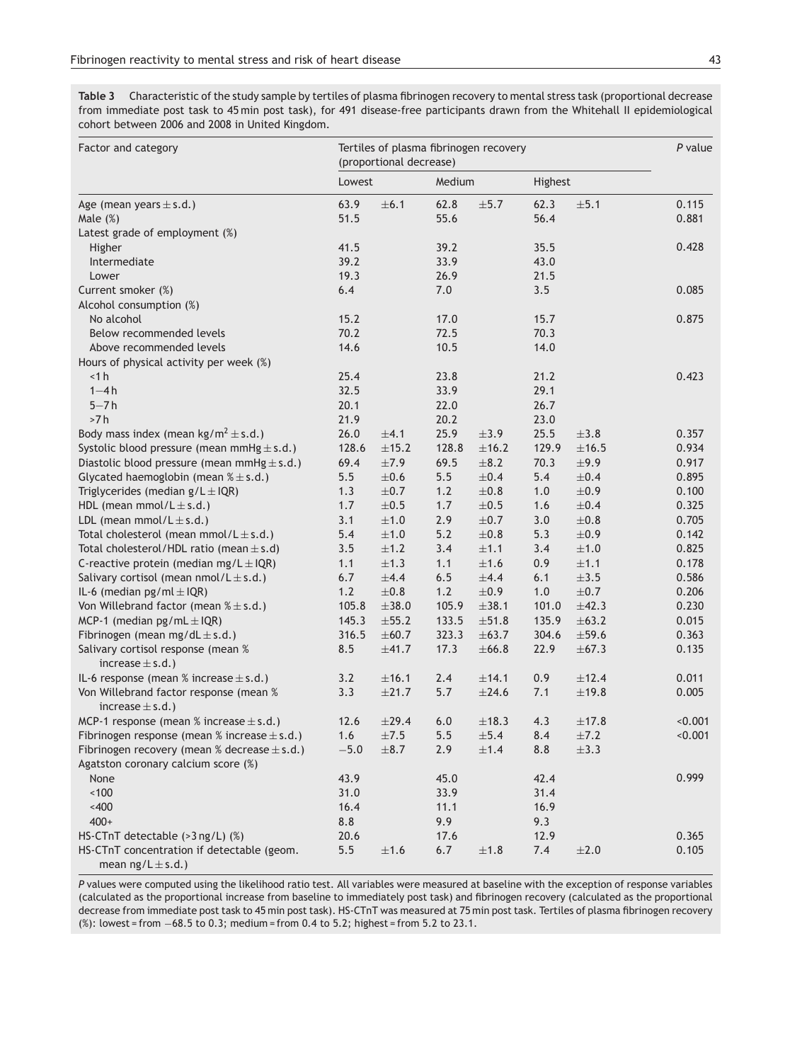<span id="page-6-0"></span>**Table 3** Characteristic of the study sample by tertiles of plasma fibrinogen recovery to mental stress task (proportional decrease from immediate post task to 45 min post task), for 491 disease-free participants drawn from the Whitehall II epidemiological cohort between 2006 and 2008 in United Kingdom.

| Factor and category                                 |        | (proportional decrease) |        | Tertiles of plasma fibrinogen recovery |         |            | $P$ value |
|-----------------------------------------------------|--------|-------------------------|--------|----------------------------------------|---------|------------|-----------|
|                                                     | Lowest |                         | Medium |                                        | Highest |            |           |
| Age (mean years $\pm$ s.d.)                         | 63.9   | $\pm 6.1$               | 62.8   | $\pm 5.7$                              | 62.3    | $\pm 5.1$  | 0.115     |
| Male $(\%)$                                         | 51.5   |                         | 55.6   |                                        | 56.4    |            | 0.881     |
| Latest grade of employment (%)                      |        |                         |        |                                        |         |            |           |
| Higher                                              | 41.5   |                         | 39.2   |                                        | 35.5    |            | 0.428     |
| Intermediate                                        | 39.2   |                         | 33.9   |                                        | 43.0    |            |           |
| Lower                                               | 19.3   |                         | 26.9   |                                        | 21.5    |            |           |
| Current smoker (%)                                  | 6.4    |                         | 7.0    |                                        | 3.5     |            | 0.085     |
| Alcohol consumption (%)                             |        |                         |        |                                        |         |            |           |
| No alcohol                                          | 15.2   |                         | 17.0   |                                        | 15.7    |            | 0.875     |
| Below recommended levels                            | 70.2   |                         | 72.5   |                                        | 70.3    |            |           |
| Above recommended levels                            | 14.6   |                         | 10.5   |                                        | 14.0    |            |           |
| Hours of physical activity per week (%)             |        |                         |        |                                        |         |            |           |
| < 1 h                                               | 25.4   |                         | 23.8   |                                        | 21.2    |            | 0.423     |
| $1 - 4h$                                            | 32.5   |                         | 33.9   |                                        | 29.1    |            |           |
| $5 - 7h$                                            | 20.1   |                         | 22.0   |                                        | 26.7    |            |           |
| >7h                                                 | 21.9   |                         | 20.2   |                                        | 23.0    |            |           |
| Body mass index (mean kg/m <sup>2</sup> $\pm$ s.d.) | 26.0   | ±4.1                    | 25.9   | $\pm$ 3.9                              | 25.5    | $\pm 3.8$  | 0.357     |
| Systolic blood pressure (mean mmHg $\pm$ s.d.)      | 128.6  | $\pm$ 15.2              | 128.8  | ±16.2                                  | 129.9   | ±16.5      | 0.934     |
| Diastolic blood pressure (mean mmHg $\pm$ s.d.)     | 69.4   | $\pm 7.9$               | 69.5   | $\pm$ 8.2                              | 70.3    | ±9.9       | 0.917     |
| Glycated haemoglobin (mean $% \pm s.d.$ )           | 5.5    | $\pm 0.6$               | 5.5    | $\pm 0.4$                              | 5.4     | $\pm 0.4$  | 0.895     |
| Triglycerides (median $g/L \pm IQR$ )               | 1.3    | $\pm 0.7$               | 1.2    | $\pm 0.8$                              | 1.0     | $\pm 0.9$  | 0.100     |
| HDL (mean mmol/ $L \pm s.d.$ )                      | 1.7    | $\pm 0.5$               | 1.7    | $\pm 0.5$                              | 1.6     | $\pm 0.4$  | 0.325     |
| LDL (mean mmol/ $L \pm s.d.$ )                      | 3.1    | $\pm 1.0$               | 2.9    | $\pm 0.7$                              | 3.0     | $\pm 0.8$  | 0.705     |
| Total cholesterol (mean mmol/ $L \pm s.d.$ )        | 5.4    | $\pm 1.0$               | $5.2$  | $\pm 0.8$                              | 5.3     | $\pm 0.9$  | 0.142     |
| Total cholesterol/HDL ratio (mean $\pm$ s.d)        | 3.5    | ±1.2                    | 3.4    | ±1.1                                   | 3.4     | $\pm 1.0$  | 0.825     |
| C-reactive protein (median mg/L $\pm$ IQR)          | 1.1    | $\pm 1.3$               | 1.1    | ±1.6                                   | 0.9     | ±1.1       | 0.178     |
| Salivary cortisol (mean $nmol/L \pm s.d.$ )         | 6.7    | $\pm 4.4$               | 6.5    | $\pm 4.4$                              | 6.1     | $\pm 3.5$  | 0.586     |
| IL-6 (median $pg/ml \pm IQR$ )                      | 1.2    | $\pm 0.8$               | 1.2    | $\pm 0.9$                              | $1.0$   | $\pm 0.7$  | 0.206     |
| Von Willebrand factor (mean $% \pm s.d.$ )          | 105.8  | $\pm 38.0$              | 105.9  | ±38.1                                  | 101.0   | $\pm 42.3$ | 0.230     |
| MCP-1 (median $pg/mL \pm IQR$ )                     | 145.3  | $\pm 55.2$              | 133.5  | $\pm 51.8$                             | 135.9   | $\pm 63.2$ | 0.015     |
| Fibrinogen (mean mg/dL $\pm$ s.d.)                  | 316.5  | $\pm 60.7$              | 323.3  | $\pm 63.7$                             | 304.6   | $\pm 59.6$ | 0.363     |
| Salivary cortisol response (mean %                  | 8.5    | $\pm 41.7$              | 17.3   | $\pm 66.8$                             | 22.9    | $\pm 67.3$ | 0.135     |
| increase $\pm$ s.d.)                                |        |                         |        |                                        |         |            |           |
| IL-6 response (mean % increase $\pm$ s.d.)          | 3.2    | ±16.1                   | 2.4    | ±14.1                                  | 0.9     | ±12.4      | 0.011     |
| Von Willebrand factor response (mean %              | 3.3    | $\pm 21.7$              | 5.7    | $\pm 24.6$                             | 7.1     | ±19.8      | 0.005     |
| increase $\pm$ s.d.)                                |        |                         |        |                                        |         |            |           |
| MCP-1 response (mean % increase $\pm$ s.d.)         | 12.6   | $\pm 29.4$              | 6.0    | $\pm$ 18.3                             | 4.3     | ±17.8      | < 0.001   |
| Fibrinogen response (mean % increase $\pm$ s.d.)    | 1.6    | $\pm 7.5$               | 5.5    | $\pm 5.4$                              | 8.4     | $\pm 7.2$  | < 0.001   |
| Fibrinogen recovery (mean % decrease $\pm$ s.d.)    | $-5.0$ | $\pm 8.7$               | 2.9    | $\pm 1.4$                              | 8.8     | $\pm 3.3$  |           |
| Agatston coronary calcium score (%)                 |        |                         |        |                                        |         |            |           |
| None                                                | 43.9   |                         | 45.0   |                                        | 42.4    |            | 0.999     |
| ~100                                                | 31.0   |                         | 33.9   |                                        | 31.4    |            |           |
| $<400$                                              | 16.4   |                         | 11.1   |                                        | 16.9    |            |           |
| $400+$                                              | 8.8    |                         | 9.9    |                                        | 9.3     |            |           |
| HS-CTnT detectable (>3 ng/L) (%)                    | 20.6   |                         | 17.6   |                                        | 12.9    |            | 0.365     |
| HS-CTnT concentration if detectable (geom.          | 5.5    | ±1.6                    | 6.7    | $\pm 1.8$                              | 7.4     | $\pm 2.0$  | 0.105     |
| mean $ng/L \pm s.d.$ )                              |        |                         |        |                                        |         |            |           |

*P* values were computed using the likelihood ratio test. All variables were measured at baseline with the exception of response variables (calculated as the proportional increase from baseline to immediately post task) and fibrinogen recovery (calculated as the proportional decrease from immediate post task to 45 min post task). HS-CTnT was measured at 75 min post task. Tertiles of plasma fibrinogen recovery (%): lowest = from −68.5 to 0.3; medium = from 0.4 to 5.2; highest = from 5.2 to 23.1.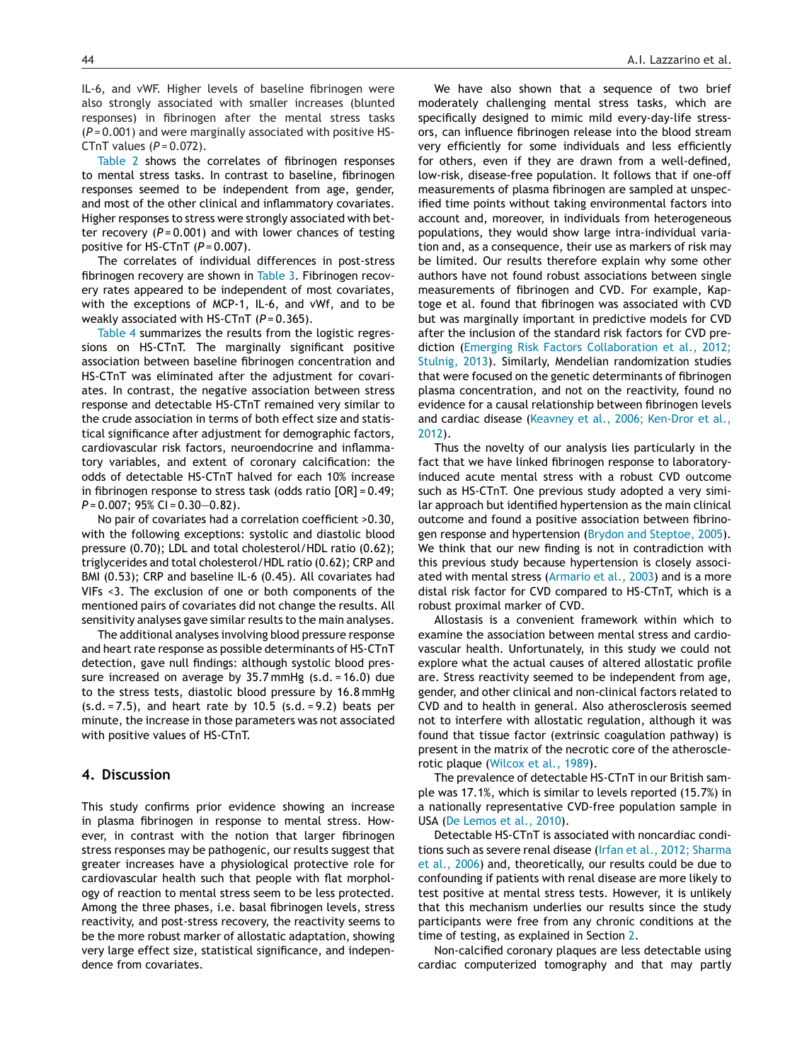IL-6, and vWF. Higher levels of baseline fibrinogen were also strongly associated with smaller increases (blunted responses) in fibrinogen after the mental stress tasks (*P* = 0.001) and were marginally associated with positive HS-CTnT values (*P* = 0.072).

[Table](#page-5-0) 2 shows the correlates of fibrinogen responses to mental stress tasks. In contrast to baseline, fibrinogen responses seemed to be independent from age, gender, and most of the other clinical and inflammatory covariates. Higher responses to stress were strongly associated with better recovery (*P* = 0.001) and with lower chances of testing positive for HS-CTnT (*P* = 0.007).

The correlates of individual differences in post-stress fibrinogen recovery are shown in [Table](#page-6-0) 3. Fibrinogen recovery rates appeared to be independent of most covariates, with the exceptions of MCP-1, IL-6, and vWf, and to be weakly associated with HS-CTnT ( $P = 0.365$ ).

[Table](#page-8-0) 4 summarizes the results from the logistic regressions on HS-CTnT. The marginally significant positive association between baseline fibrinogen concentration and HS-CTnT was eliminated after the adjustment for covariates. In contrast, the negative association between stress response and detectable HS-CTnT remained very similar to the crude association in terms of both effect size and statistical significance after adjustment for demographic factors, cardiovascular risk factors, neuroendocrine and inflammatory variables, and extent of coronary calcification: the odds of detectable HS-CTnT halved for each 10% increase in fibrinogen response to stress task (odds ratio [OR] = 0.49; *P* = 0.007; 95% CI = 0.30—0.82).

No pair of covariates had a correlation coefficient >0.30, with the following exceptions: systolic and diastolic blood pressure (0.70); LDL and total cholesterol/HDL ratio (0.62); triglycerides and total cholesterol/HDL ratio (0.62); CRP and BMI (0.53); CRP and baseline IL-6 (0.45). All covariates had VIFs <3. The exclusion of one or both components of the mentioned pairs of covariates did not change the results. All sensitivity analyses gave similar results to the main analyses.

The additional analyses involving blood pressure response and heart rate response as possible determinants of HS-CTnT detection, gave null findings: although systolic blood pressure increased on average by 35.7 mmHg (s.d. = 16.0) due to the stress tests, diastolic blood pressure by 16.8 mmHg  $(s.d. = 7.5)$ , and heart rate by 10.5  $(s.d. = 9.2)$  beats per minute, the increase in those parameters was not associated with positive values of HS-CTnT.

#### **4. Discussion**

This study confirms prior evidence showing an increase in plasma fibrinogen in response to mental stress. However, in contrast with the notion that larger fibrinogen stress responses may be pathogenic, our results suggest that greater increases have a physiological protective role for cardiovascular health such that people with flat morphology of reaction to mental stress seem to be less protected. Among the three phases, i.e. basal fibrinogen levels, stress reactivity, and post-stress recovery, the reactivity seems to be the more robust marker of allostatic adaptation, showing very large effect size, statistical significance, and independence from covariates.

We have also shown that a sequence of two brief moderately challenging mental stress tasks, which are specifically designed to mimic mild every-day-life stressors, can influence fibrinogen release into the blood stream very efficiently for some individuals and less efficiently for others, even if they are drawn from a well-defined, low-risk, disease-free population. It follows that if one-off measurements of plasma fibrinogen are sampled at unspecified time points without taking environmental factors into account and, moreover, in individuals from heterogeneous populations, they would show large intra-individual variation and, as a consequence, their use as markers of risk may be limited. Our results therefore explain why some other authors have not found robust associations between single measurements of fibrinogen and CVD. For example, Kaptoge et al. found that fibrinogen was associated with CVD but was marginally important in predictive models for CVD after the inclusion of the standard risk factors for CVD prediction ([Emerging](#page-10-0) [Risk](#page-10-0) [Factors](#page-10-0) [Collaboration](#page-10-0) et [al.,](#page-10-0) [2012;](#page-10-0) [Stulnig,](#page-10-0) [2013\).](#page-10-0) Similarly, Mendelian randomization studies that were focused on the genetic determinants of fibrinogen plasma concentration, and not on the reactivity, found no evidence for a causal relationship between fibrinogen levels and cardiac disease ([Keavney](#page-10-0) et [al.,](#page-10-0) [2006;](#page-10-0) [Ken-Dror](#page-10-0) et [al.,](#page-10-0) [2012\).](#page-10-0)

Thus the novelty of our analysis lies particularly in the fact that we have linked fibrinogen response to laboratoryinduced acute mental stress with a robust CVD outcome such as HS-CTnT. One previous study adopted a very similar approach but identified hypertension as the main clinical outcome and found a positive association between fibrinogen response and hypertension [\(Brydon](#page-10-0) [and](#page-10-0) [Steptoe,](#page-10-0) [2005\).](#page-10-0) We think that our new finding is not in contradiction with this previous study because hypertension is closely associated with mental stress ([Armario](#page-10-0) et [al.,](#page-10-0) [2003\)](#page-10-0) and is a more distal risk factor for CVD compared to HS-CTnT, which is a robust proximal marker of CVD.

Allostasis is a convenient framework within which to examine the association between mental stress and cardiovascular health. Unfortunately, in this study we could not explore what the actual causes of altered allostatic profile are. Stress reactivity seemed to be independent from age, gender, and other clinical and non-clinical factors related to CVD and to health in general. Also atherosclerosis seemed not to interfere with allostatic regulation, although it was found that tissue factor (extrinsic coagulation pathway) is present in the matrix of the necrotic core of the atherosclerotic plaque ([Wilcox](#page-11-0) et [al.,](#page-11-0) [1989\).](#page-11-0)

The prevalence of detectable HS-CTnT in our British sample was 17.1%, which is similar to levels reported (15.7%) in a nationally representative CVD-free population sample in USA [\(De](#page-10-0) [Lemos](#page-10-0) et [al.,](#page-10-0) [2010\).](#page-10-0)

Detectable HS-CTnT is associated with noncardiac conditions such as severe renal disease ([Irfan](#page-10-0) et [al.,](#page-10-0) [2012;](#page-10-0) [Sharma](#page-10-0) et [al.,](#page-10-0) [2006\)](#page-10-0) and, theoretically, our results could be due to confounding if patients with renal disease are more likely to test positive at mental stress tests. However, it is unlikely that this mechanism underlies our results since the study participants were free from any chronic conditions at the time of testing, as explained in Section [2.](#page-2-0)

Non-calcified coronary plaques are less detectable using cardiac computerized tomography and that may partly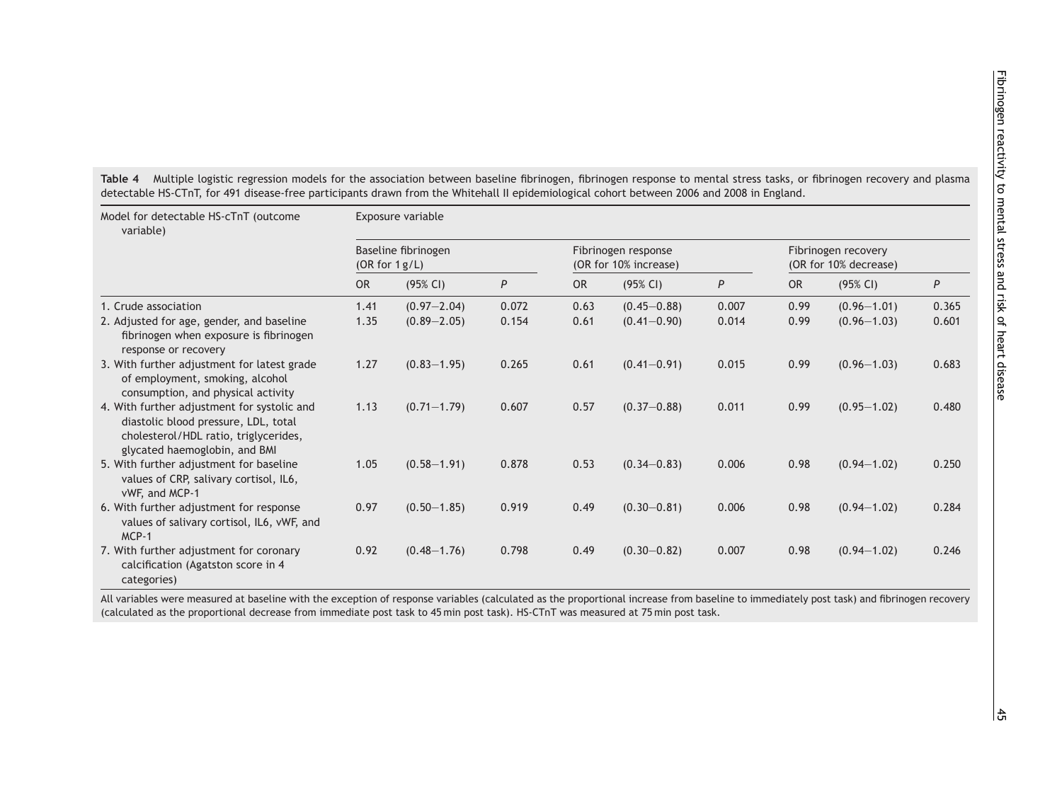<span id="page-8-0"></span>

| Model for detectable HS-cTnT (outcome<br>variable)                                                                                                            | Exposure variable                       |                 |                  |                                              |                 |       |                                              |                 |       |  |
|---------------------------------------------------------------------------------------------------------------------------------------------------------------|-----------------------------------------|-----------------|------------------|----------------------------------------------|-----------------|-------|----------------------------------------------|-----------------|-------|--|
|                                                                                                                                                               | Baseline fibrinogen<br>(OR for $1g/L$ ) |                 |                  | Fibrinogen response<br>(OR for 10% increase) |                 |       | Fibrinogen recovery<br>(OR for 10% decrease) |                 |       |  |
|                                                                                                                                                               | <b>OR</b>                               | (95% CI)        | $\boldsymbol{P}$ | <b>OR</b>                                    | (95% CI)        | P     | OR                                           | (95% CI)        | P     |  |
| 1. Crude association                                                                                                                                          | 1.41                                    | $(0.97 - 2.04)$ | 0.072            | 0.63                                         | $(0.45 - 0.88)$ | 0.007 | 0.99                                         | $(0.96 - 1.01)$ | 0.365 |  |
| 2. Adjusted for age, gender, and baseline<br>fibrinogen when exposure is fibrinogen<br>response or recovery                                                   | 1.35                                    | $(0.89 - 2.05)$ | 0.154            | 0.61                                         | $(0.41 - 0.90)$ | 0.014 | 0.99                                         | $(0.96 - 1.03)$ | 0.601 |  |
| 3. With further adjustment for latest grade<br>of employment, smoking, alcohol<br>consumption, and physical activity                                          | 1.27                                    | $(0.83 - 1.95)$ | 0.265            | 0.61                                         | $(0.41 - 0.91)$ | 0.015 | 0.99                                         | $(0.96 - 1.03)$ | 0.683 |  |
| 4. With further adjustment for systolic and<br>diastolic blood pressure, LDL, total<br>cholesterol/HDL ratio, triglycerides,<br>glycated haemoglobin, and BMI | 1.13                                    | $(0.71 - 1.79)$ | 0.607            | 0.57                                         | $(0.37 - 0.88)$ | 0.011 | 0.99                                         | $(0.95 - 1.02)$ | 0.480 |  |
| 5. With further adjustment for baseline<br>values of CRP, salivary cortisol, IL6,<br>vWF, and MCP-1                                                           | 1.05                                    | $(0.58 - 1.91)$ | 0.878            | 0.53                                         | $(0.34 - 0.83)$ | 0.006 | 0.98                                         | $(0.94 - 1.02)$ | 0.250 |  |
| 6. With further adjustment for response<br>values of salivary cortisol, IL6, vWF, and<br>MCP-1                                                                | 0.97                                    | $(0.50 - 1.85)$ | 0.919            | 0.49                                         | $(0.30 - 0.81)$ | 0.006 | 0.98                                         | $(0.94 - 1.02)$ | 0.284 |  |
| 7. With further adjustment for coronary<br>calcification (Agatston score in 4<br>categories)                                                                  | 0.92                                    | $(0.48 - 1.76)$ | 0.798            | 0.49                                         | $(0.30 - 0.82)$ | 0.007 | 0.98                                         | $(0.94 - 1.02)$ | 0.246 |  |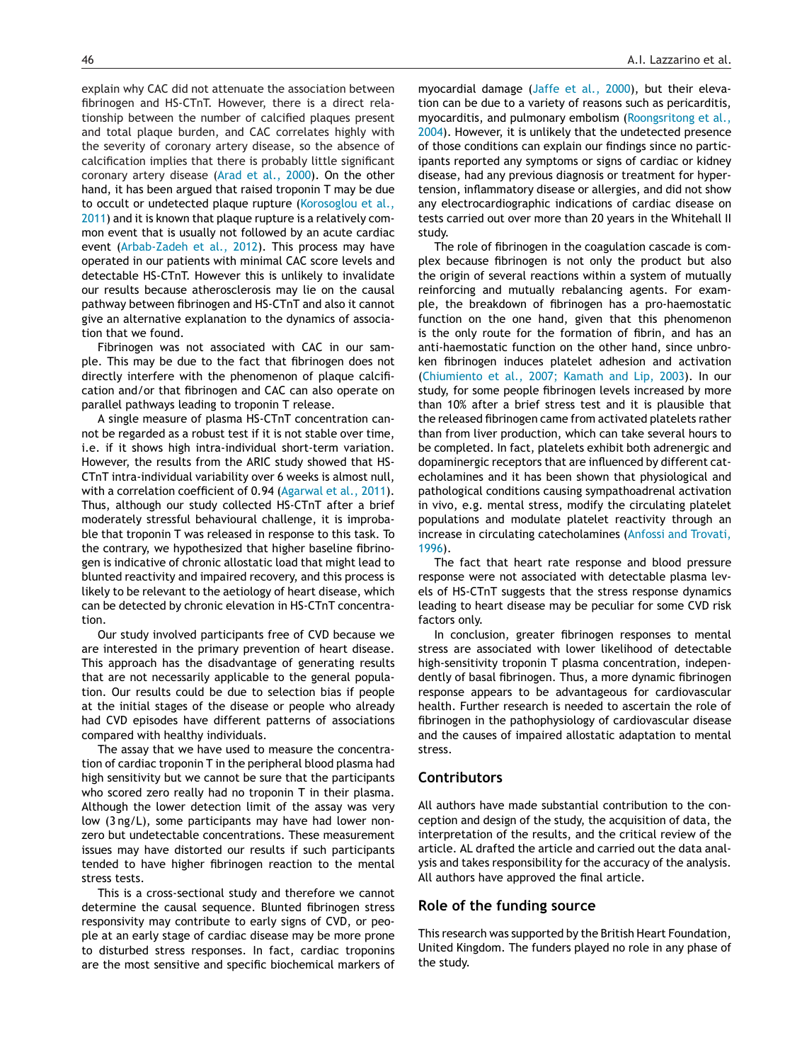explain why CAC did not attenuate the association between fibrinogen and HS-CTnT. However, there is a direct relationship between the number of calcified plaques present and total plaque burden, and CAC correlates highly with the severity of coronary artery disease, so the absence of calcification implies that there is probably little significant coronary artery disease ([Arad](#page-10-0) et [al.,](#page-10-0) [2000\).](#page-10-0) On the other hand, it has been argued that raised troponin T may be due to occult or undetected plaque rupture ([Korosoglou](#page-11-0) et [al.,](#page-11-0) [2011\)](#page-11-0) and it is known that plaque rupture is a relatively common event that is usually not followed by an acute cardiac event ([Arbab-Zadeh](#page-10-0) et [al.,](#page-10-0) [2012\).](#page-10-0) This process may have operated in our patients with minimal CAC score levels and detectable HS-CTnT. However this is unlikely to invalidate our results because atherosclerosis may lie on the causal pathway between fibrinogen and HS-CTnT and also it cannot give an alternative explanation to the dynamics of association that we found.

Fibrinogen was not associated with CAC in our sample. This may be due to the fact that fibrinogen does not directly interfere with the phenomenon of plaque calcification and/or that fibrinogen and CAC can also operate on parallel pathways leading to troponin T release.

A single measure of plasma HS-CTnT concentration cannot be regarded as a robust test if it is not stable over time, i.e. if it shows high intra-individual short-term variation. However, the results from the ARIC study showed that HS-CTnT intra-individual variability over 6 weeks is almost null, with a correlation coefficient of 0.94 [\(Agarwal](#page-10-0) et [al.,](#page-10-0) [2011\).](#page-10-0) Thus, although our study collected HS-CTnT after a brief moderately stressful behavioural challenge, it is improbable that troponin T was released in response to this task. To the contrary, we hypothesized that higher baseline fibrinogen is indicative of chronic allostatic load that might lead to blunted reactivity and impaired recovery, and this process is likely to be relevant to the aetiology of heart disease, which can be detected by chronic elevation in HS-CTnT concentration.

Our study involved participants free of CVD because we are interested in the primary prevention of heart disease. This approach has the disadvantage of generating results that are not necessarily applicable to the general population. Our results could be due to selection bias if people at the initial stages of the disease or people who already had CVD episodes have different patterns of associations compared with healthy individuals.

The assay that we have used to measure the concentration of cardiac troponin T in the peripheral blood plasma had high sensitivity but we cannot be sure that the participants who scored zero really had no troponin T in their plasma. Although the lower detection limit of the assay was very low (3 ng/L), some participants may have had lower nonzero but undetectable concentrations. These measurement issues may have distorted our results if such participants tended to have higher fibrinogen reaction to the mental stress tests.

This is a cross-sectional study and therefore we cannot determine the causal sequence. Blunted fibrinogen stress responsivity may contribute to early signs of CVD, or people at an early stage of cardiac disease may be more prone to disturbed stress responses. In fact, cardiac troponins are the most sensitive and specific biochemical markers of

myocardial damage [\(Jaffe](#page-10-0) et [al.,](#page-10-0) [2000\),](#page-10-0) but their elevation can be due to a variety of reasons such as pericarditis, myocarditis, and pulmonary embolism ([Roongsritong](#page-11-0) et [al.,](#page-11-0) [2004\).](#page-11-0) However, it is unlikely that the undetected presence of those conditions can explain our findings since no participants reported any symptoms or signs of cardiac or kidney disease, had any previous diagnosis or treatment for hypertension, inflammatory disease or allergies, and did not show any electrocardiographic indications of cardiac disease on tests carried out over more than 20 years in the Whitehall II study.

The role of fibrinogen in the coagulation cascade is complex because fibrinogen is not only the product but also the origin of several reactions within a system of mutually reinforcing and mutually rebalancing agents. For example, the breakdown of fibrinogen has a pro-haemostatic function on the one hand, given that this phenomenon is the only route for the formation of fibrin, and has an anti-haemostatic function on the other hand, since unbroken fibrinogen induces platelet adhesion and activation [\(Chiumiento](#page-10-0) et [al.,](#page-10-0) [2007;](#page-10-0) [Kamath](#page-10-0) [and](#page-10-0) [Lip,](#page-10-0) [2003\).](#page-10-0) In our study, for some people fibrinogen levels increased by more than 10% after a brief stress test and it is plausible that the released fibrinogen came from activated platelets rather than from liver production, which can take several hours to be completed. In fact, platelets exhibit both adrenergic and dopaminergic receptors that are influenced by different catecholamines and it has been shown that physiological and pathological conditions causing sympathoadrenal activation in vivo, e.g. mental stress, modify the circulating platelet populations and modulate platelet reactivity through an increase in circulating catecholamines ([Anfossi](#page-10-0) [and](#page-10-0) [Trovati,](#page-10-0) [1996\).](#page-10-0)

The fact that heart rate response and blood pressure response were not associated with detectable plasma levels of HS-CTnT suggests that the stress response dynamics leading to heart disease may be peculiar for some CVD risk factors only.

In conclusion, greater fibrinogen responses to mental stress are associated with lower likelihood of detectable high-sensitivity troponin T plasma concentration, independently of basal fibrinogen. Thus, a more dynamic fibrinogen response appears to be advantageous for cardiovascular health. Further research is needed to ascertain the role of fibrinogen in the pathophysiology of cardiovascular disease and the causes of impaired allostatic adaptation to mental stress.

#### **Contributors**

All authors have made substantial contribution to the conception and design of the study, the acquisition of data, the interpretation of the results, and the critical review of the article. AL drafted the article and carried out the data analysis and takes responsibility for the accuracy of the analysis. All authors have approved the final article.

#### **Role of the funding source**

This research was supported by the British Heart Foundation, United Kingdom. The funders played no role in any phase of the study.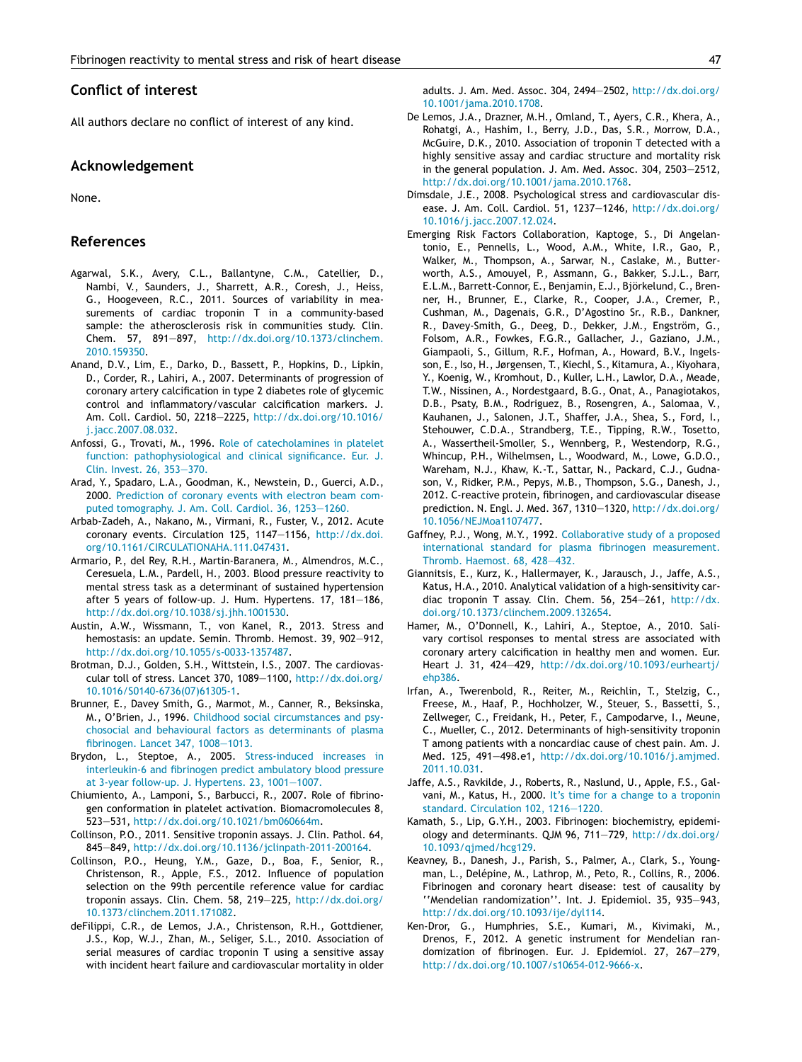#### <span id="page-10-0"></span>**Conflict of interest**

All authors declare no conflict of interest of any kind.

### **Acknowledgement**

None.

#### **References**

- Agarwal, S.K., Avery, C.L., Ballantyne, C.M., Catellier, D., Nambi, V., Saunders, J., Sharrett, A.R., Coresh, J., Heiss, G., Hoogeveen, R.C., 2011. Sources of variability in measurements of cardiac troponin T in a community-based sample: the atherosclerosis risk in communities study. Clin. Chem. 57, 891—897, [http://dx.doi.org/10.1373/clinchem.](dx.doi.org/10.1373/clinchem.2010.159350) [2010.159350](dx.doi.org/10.1373/clinchem.2010.159350).
- Anand, D.V., Lim, E., Darko, D., Bassett, P., Hopkins, D., Lipkin, D., Corder, R., Lahiri, A., 2007. Determinants of progression of coronary artery calcification in type 2 diabetes role of glycemic control and inflammatory/vascular calcification markers. J. Am. Coll. Cardiol. 50, 2218—2225, [http://dx.doi.org/10.1016/](dx.doi.org/10.1016/j.jacc.2007.08.032) [j.jacc.2007.08.032.](dx.doi.org/10.1016/j.jacc.2007.08.032)
- Anfossi, G., Trovati, M., 1996. [Role](http://refhub.elsevier.com/S0306-4530(15)00182-1/sbref0015) [of](http://refhub.elsevier.com/S0306-4530(15)00182-1/sbref0015) [catecholamines](http://refhub.elsevier.com/S0306-4530(15)00182-1/sbref0015) [in](http://refhub.elsevier.com/S0306-4530(15)00182-1/sbref0015) [platelet](http://refhub.elsevier.com/S0306-4530(15)00182-1/sbref0015) [function:](http://refhub.elsevier.com/S0306-4530(15)00182-1/sbref0015) [pathophysiological](http://refhub.elsevier.com/S0306-4530(15)00182-1/sbref0015) [and](http://refhub.elsevier.com/S0306-4530(15)00182-1/sbref0015) [clinical](http://refhub.elsevier.com/S0306-4530(15)00182-1/sbref0015) [significance.](http://refhub.elsevier.com/S0306-4530(15)00182-1/sbref0015) [Eur.](http://refhub.elsevier.com/S0306-4530(15)00182-1/sbref0015) [J.](http://refhub.elsevier.com/S0306-4530(15)00182-1/sbref0015) [Clin.](http://refhub.elsevier.com/S0306-4530(15)00182-1/sbref0015) [Invest.](http://refhub.elsevier.com/S0306-4530(15)00182-1/sbref0015) [26,](http://refhub.elsevier.com/S0306-4530(15)00182-1/sbref0015) [353—370.](http://refhub.elsevier.com/S0306-4530(15)00182-1/sbref0015)
- Arad, Y., Spadaro, L.A., Goodman, K., Newstein, D., Guerci, A.D., 2000. [Prediction](http://refhub.elsevier.com/S0306-4530(15)00182-1/sbref0020) [of](http://refhub.elsevier.com/S0306-4530(15)00182-1/sbref0020) [coronary](http://refhub.elsevier.com/S0306-4530(15)00182-1/sbref0020) [events](http://refhub.elsevier.com/S0306-4530(15)00182-1/sbref0020) [with](http://refhub.elsevier.com/S0306-4530(15)00182-1/sbref0020) [electron](http://refhub.elsevier.com/S0306-4530(15)00182-1/sbref0020) [beam](http://refhub.elsevier.com/S0306-4530(15)00182-1/sbref0020) [com](http://refhub.elsevier.com/S0306-4530(15)00182-1/sbref0020)[puted](http://refhub.elsevier.com/S0306-4530(15)00182-1/sbref0020) [tomography.](http://refhub.elsevier.com/S0306-4530(15)00182-1/sbref0020) [J.](http://refhub.elsevier.com/S0306-4530(15)00182-1/sbref0020) [Am.](http://refhub.elsevier.com/S0306-4530(15)00182-1/sbref0020) [Coll.](http://refhub.elsevier.com/S0306-4530(15)00182-1/sbref0020) [Cardiol.](http://refhub.elsevier.com/S0306-4530(15)00182-1/sbref0020) [36,](http://refhub.elsevier.com/S0306-4530(15)00182-1/sbref0020) [1253—1260.](http://refhub.elsevier.com/S0306-4530(15)00182-1/sbref0020)
- Arbab-Zadeh, A., Nakano, M., Virmani, R., Fuster, V., 2012. Acute coronary events. Circulation 125, 1147—1156, [http://dx.doi.](dx.doi.org/10.1161/CIRCULATIONAHA.111.047431) [org/10.1161/CIRCULATIONAHA.111.047431](dx.doi.org/10.1161/CIRCULATIONAHA.111.047431).
- Armario, P., del Rey, R.H., Martin-Baranera, M., Almendros, M.C., Ceresuela, L.M., Pardell, H., 2003. Blood pressure reactivity to mental stress task as a determinant of sustained hypertension after 5 years of follow-up. J. Hum. Hypertens. 17, 181—186, [http://dx.doi.org/10.1038/sj.jhh.1001530.](dx.doi.org/10.1038/sj.jhh.1001530)
- Austin, A.W., Wissmann, T., von Kanel, R., 2013. Stress and hemostasis: an update. Semin. Thromb. Hemost. 39, 902—912, [http://dx.doi.org/10.1055/s-0033-1357487.](dx.doi.org/10.1055/s-0033-1357487)
- Brotman, D.J., Golden, S.H., Wittstein, I.S., 2007. The cardiovascular toll of stress. Lancet 370, 1089—1100, [http://dx.doi.org/](dx.doi.org/10.1016/S0140-6736(07)61305-1) [10.1016/S0140-6736\(07\)61305-1.](dx.doi.org/10.1016/S0140-6736(07)61305-1)
- Brunner, E., Davey Smith, G., Marmot, M., Canner, R., Beksinska, M., O'Brien, J., 1996. [Childhood](http://refhub.elsevier.com/S0306-4530(15)00182-1/sbref0045) [social](http://refhub.elsevier.com/S0306-4530(15)00182-1/sbref0045) [circumstances](http://refhub.elsevier.com/S0306-4530(15)00182-1/sbref0045) [and](http://refhub.elsevier.com/S0306-4530(15)00182-1/sbref0045) [psy](http://refhub.elsevier.com/S0306-4530(15)00182-1/sbref0045)[chosocial](http://refhub.elsevier.com/S0306-4530(15)00182-1/sbref0045) [and](http://refhub.elsevier.com/S0306-4530(15)00182-1/sbref0045) [behavioural](http://refhub.elsevier.com/S0306-4530(15)00182-1/sbref0045) [factors](http://refhub.elsevier.com/S0306-4530(15)00182-1/sbref0045) [as](http://refhub.elsevier.com/S0306-4530(15)00182-1/sbref0045) [determinants](http://refhub.elsevier.com/S0306-4530(15)00182-1/sbref0045) [of](http://refhub.elsevier.com/S0306-4530(15)00182-1/sbref0045) [plasma](http://refhub.elsevier.com/S0306-4530(15)00182-1/sbref0045) [fibrinogen.](http://refhub.elsevier.com/S0306-4530(15)00182-1/sbref0045) [Lancet](http://refhub.elsevier.com/S0306-4530(15)00182-1/sbref0045) [347,](http://refhub.elsevier.com/S0306-4530(15)00182-1/sbref0045) [1008](http://refhub.elsevier.com/S0306-4530(15)00182-1/sbref0045)—[1013.](http://refhub.elsevier.com/S0306-4530(15)00182-1/sbref0045)
- Brydon, L., Steptoe, A., 2005. [Stress-induced](http://refhub.elsevier.com/S0306-4530(15)00182-1/sbref0050) [increases](http://refhub.elsevier.com/S0306-4530(15)00182-1/sbref0050) [in](http://refhub.elsevier.com/S0306-4530(15)00182-1/sbref0050) [interleukin-6](http://refhub.elsevier.com/S0306-4530(15)00182-1/sbref0050) [and](http://refhub.elsevier.com/S0306-4530(15)00182-1/sbref0050) [fibrinogen](http://refhub.elsevier.com/S0306-4530(15)00182-1/sbref0050) [predict](http://refhub.elsevier.com/S0306-4530(15)00182-1/sbref0050) [ambulatory](http://refhub.elsevier.com/S0306-4530(15)00182-1/sbref0050) [blood](http://refhub.elsevier.com/S0306-4530(15)00182-1/sbref0050) [pressure](http://refhub.elsevier.com/S0306-4530(15)00182-1/sbref0050) [at](http://refhub.elsevier.com/S0306-4530(15)00182-1/sbref0050) [3-year](http://refhub.elsevier.com/S0306-4530(15)00182-1/sbref0050) [follow-up.](http://refhub.elsevier.com/S0306-4530(15)00182-1/sbref0050) [J.](http://refhub.elsevier.com/S0306-4530(15)00182-1/sbref0050) [Hypertens.](http://refhub.elsevier.com/S0306-4530(15)00182-1/sbref0050) [23,](http://refhub.elsevier.com/S0306-4530(15)00182-1/sbref0050) [1001](http://refhub.elsevier.com/S0306-4530(15)00182-1/sbref0050)—[1007.](http://refhub.elsevier.com/S0306-4530(15)00182-1/sbref0050)
- Chiumiento, A., Lamponi, S., Barbucci, R., 2007. Role of fibrinogen conformation in platelet activation. Biomacromolecules 8, 523—531, [http://dx.doi.org/10.1021/bm060664m.](dx.doi.org/10.1021/bm060664m)
- Collinson, P.O., 2011. Sensitive troponin assays. J. Clin. Pathol. 64, 845—849, [http://dx.doi.org/10.1136/jclinpath-2011-200164.](dx.doi.org/10.1136/jclinpath-2011-200164)
- Collinson, P.O., Heung, Y.M., Gaze, D., Boa, F., Senior, R., Christenson, R., Apple, F.S., 2012. Influence of population selection on the 99th percentile reference value for cardiac troponin assays. Clin. Chem. 58, 219—225, [http://dx.doi.org/](dx.doi.org/10.1373/clinchem.2011.171082) [10.1373/clinchem.2011.171082](dx.doi.org/10.1373/clinchem.2011.171082).
- deFilippi, C.R., de Lemos, J.A., Christenson, R.H., Gottdiener, J.S., Kop, W.J., Zhan, M., Seliger, S.L., 2010. Association of serial measures of cardiac troponin T using a sensitive assay with incident heart failure and cardiovascular mortality in older

adults. J. Am. Med. Assoc. 304, 2494—2502, [http://dx.doi.org/](dx.doi.org/10.1001/jama.2010.1708) [10.1001/jama.2010.1708.](dx.doi.org/10.1001/jama.2010.1708)

- De Lemos, J.A., Drazner, M.H., Omland, T., Ayers, C.R., Khera, A., Rohatgi, A., Hashim, I., Berry, J.D., Das, S.R., Morrow, D.A., McGuire, D.K., 2010. Association of troponin T detected with a highly sensitive assay and cardiac structure and mortality risk in the general population. J. Am. Med. Assoc. 304, 2503—2512, [http://dx.doi.org/10.1001/jama.2010.1768.](dx.doi.org/10.1001/jama.2010.1768)
- Dimsdale, J.E., 2008. Psychological stress and cardiovascular disease. J. Am. Coll. Cardiol. 51, 1237—1246, [http://dx.doi.org/](dx.doi.org/10.1016/j.jacc.2007.12.024) [10.1016/j.jacc.2007.12.024.](dx.doi.org/10.1016/j.jacc.2007.12.024)
- Emerging Risk Factors Collaboration, Kaptoge, S., Di Angelantonio, E., Pennells, L., Wood, A.M., White, I.R., Gao, P., Walker, M., Thompson, A., Sarwar, N., Caslake, M., Butterworth, A.S., Amouyel, P., Assmann, G., Bakker, S.J.L., Barr, E.L.M., Barrett-Connor, E., Benjamin, E.J., Björkelund, C., Brenner, H., Brunner, E., Clarke, R., Cooper, J.A., Cremer, P., Cushman, M., Dagenais, G.R., D'Agostino Sr., R.B., Dankner, R., Davey-Smith, G., Deeg, D., Dekker, J.M., Engström, G., Folsom, A.R., Fowkes, F.G.R., Gallacher, J., Gaziano, J.M., Giampaoli, S., Gillum, R.F., Hofman, A., Howard, B.V., Ingelsson, E., Iso, H., Jørgensen, T., Kiechl, S., Kitamura, A., Kiyohara, Y., Koenig, W., Kromhout, D., Kuller, L.H., Lawlor, D.A., Meade, T.W., Nissinen, A., Nordestgaard, B.G., Onat, A., Panagiotakos, D.B., Psaty, B.M., Rodriguez, B., Rosengren, A., Salomaa, V., Kauhanen, J., Salonen, J.T., Shaffer, J.A., Shea, S., Ford, I., Stehouwer, C.D.A., Strandberg, T.E., Tipping, R.W., Tosetto, A., Wassertheil-Smoller, S., Wennberg, P., Westendorp, R.G., Whincup, P.H., Wilhelmsen, L., Woodward, M., Lowe, G.D.O., Wareham, N.J., Khaw, K.-T., Sattar, N., Packard, C.J., Gudnason, V., Ridker, P.M., Pepys, M.B., Thompson, S.G., Danesh, J., 2012. C-reactive protein, fibrinogen, and cardiovascular disease prediction. N. Engl. J. Med. 367, 1310—1320, [http://dx.doi.org/](dx.doi.org/10.1056/NEJMoa1107477) [10.1056/NEJMoa1107477](dx.doi.org/10.1056/NEJMoa1107477).
- Gaffney, P.J., Wong, M.Y., 1992. [Collaborative](http://refhub.elsevier.com/S0306-4530(15)00182-1/sbref0090) [study](http://refhub.elsevier.com/S0306-4530(15)00182-1/sbref0090) [of](http://refhub.elsevier.com/S0306-4530(15)00182-1/sbref0090) [a](http://refhub.elsevier.com/S0306-4530(15)00182-1/sbref0090) [proposed](http://refhub.elsevier.com/S0306-4530(15)00182-1/sbref0090) [international](http://refhub.elsevier.com/S0306-4530(15)00182-1/sbref0090) [standard](http://refhub.elsevier.com/S0306-4530(15)00182-1/sbref0090) [for](http://refhub.elsevier.com/S0306-4530(15)00182-1/sbref0090) [plasma](http://refhub.elsevier.com/S0306-4530(15)00182-1/sbref0090) [fibrinogen](http://refhub.elsevier.com/S0306-4530(15)00182-1/sbref0090) [measurement.](http://refhub.elsevier.com/S0306-4530(15)00182-1/sbref0090) [Thromb.](http://refhub.elsevier.com/S0306-4530(15)00182-1/sbref0090) [Haemost.](http://refhub.elsevier.com/S0306-4530(15)00182-1/sbref0090) [68,](http://refhub.elsevier.com/S0306-4530(15)00182-1/sbref0090) [428](http://refhub.elsevier.com/S0306-4530(15)00182-1/sbref0090)—[432.](http://refhub.elsevier.com/S0306-4530(15)00182-1/sbref0090)
- Giannitsis, E., Kurz, K., Hallermayer, K., Jarausch, J., Jaffe, A.S., Katus, H.A., 2010. Analytical validation of a high-sensitivity cardiac troponin T assay. Clin. Chem. 56, 254—261, [http://dx.](dx.doi.org/10.1373/clinchem.2009.132654) [doi.org/10.1373/clinchem.2009.132654.](dx.doi.org/10.1373/clinchem.2009.132654)
- Hamer, M., O'Donnell, K., Lahiri, A., Steptoe, A., 2010. Salivary cortisol responses to mental stress are associated with coronary artery calcification in healthy men and women. Eur. Heart J. 31, 424—429, [http://dx.doi.org/10.1093/eurheartj/](dx.doi.org/10.1093/eurheartj/ehp386) [ehp386](dx.doi.org/10.1093/eurheartj/ehp386).
- Irfan, A., Twerenbold, R., Reiter, M., Reichlin, T., Stelzig, C., Freese, M., Haaf, P., Hochholzer, W., Steuer, S., Bassetti, S., Zellweger, C., Freidank, H., Peter, F., Campodarve, I., Meune, C., Mueller, C., 2012. Determinants of high-sensitivity troponin T among patients with a noncardiac cause of chest pain. Am. J. Med. 125, 491—498.e1, [http://dx.doi.org/10.1016/j.amjmed.](dx.doi.org/10.1016/j.amjmed.2011.10.031) [2011.10.031.](dx.doi.org/10.1016/j.amjmed.2011.10.031)
- Jaffe, A.S., Ravkilde, J., Roberts, R., Naslund, U., Apple, F.S., Galvani, M., Katus, H., 2000. [It's](http://refhub.elsevier.com/S0306-4530(15)00182-1/sbref0110) [time](http://refhub.elsevier.com/S0306-4530(15)00182-1/sbref0110) [for](http://refhub.elsevier.com/S0306-4530(15)00182-1/sbref0110) [a](http://refhub.elsevier.com/S0306-4530(15)00182-1/sbref0110) [change](http://refhub.elsevier.com/S0306-4530(15)00182-1/sbref0110) [to](http://refhub.elsevier.com/S0306-4530(15)00182-1/sbref0110) [a](http://refhub.elsevier.com/S0306-4530(15)00182-1/sbref0110) [troponin](http://refhub.elsevier.com/S0306-4530(15)00182-1/sbref0110) [standard.](http://refhub.elsevier.com/S0306-4530(15)00182-1/sbref0110) [Circulation](http://refhub.elsevier.com/S0306-4530(15)00182-1/sbref0110) [102,](http://refhub.elsevier.com/S0306-4530(15)00182-1/sbref0110) [1216—1220.](http://refhub.elsevier.com/S0306-4530(15)00182-1/sbref0110)
- Kamath, S., Lip, G.Y.H., 2003. Fibrinogen: biochemistry, epidemiology and determinants. QJM 96, 711—729, [http://dx.doi.org/](dx.doi.org/10.1093/qjmed/hcg129) [10.1093/qjmed/hcg129](dx.doi.org/10.1093/qjmed/hcg129).
- Keavney, B., Danesh, J., Parish, S., Palmer, A., Clark, S., Youngman, L., Delépine, M., Lathrop, M., Peto, R., Collins, R., 2006. Fibrinogen and coronary heart disease: test of causality by ''Mendelian randomization''. Int. J. Epidemiol. 35, 935—943, [http://dx.doi.org/10.1093/ije/dyl114.](dx.doi.org/10.1093/ije/dyl114)
- Ken-Dror, G., Humphries, S.E., Kumari, M., Kivimaki, M., Drenos, F., 2012. A genetic instrument for Mendelian randomization of fibrinogen. Eur. J. Epidemiol. 27, 267—279, [http://dx.doi.org/10.1007/s10654-012-9666-x.](dx.doi.org/10.1007/s10654-012-9666-x)